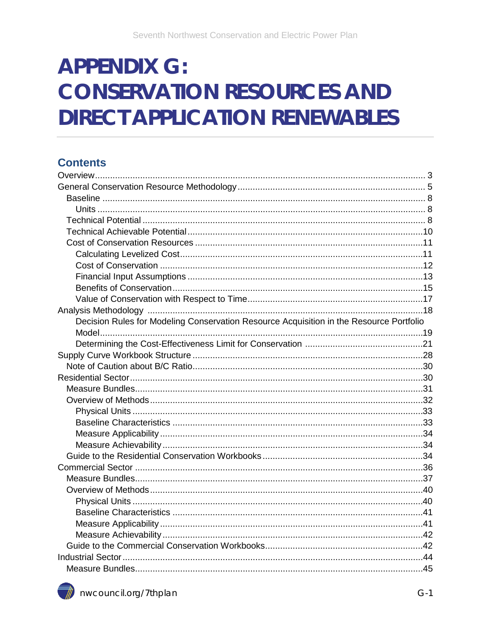# **APPENDIX G: CONSERVATION RESOURCES AND DIRECT APPLICATION RENEWABLES**

### **Contents**

| Decision Rules for Modeling Conservation Resource Acquisition in the Resource Portfolio |  |
|-----------------------------------------------------------------------------------------|--|
|                                                                                         |  |
|                                                                                         |  |
|                                                                                         |  |
|                                                                                         |  |
|                                                                                         |  |
|                                                                                         |  |
|                                                                                         |  |
|                                                                                         |  |
|                                                                                         |  |
|                                                                                         |  |
|                                                                                         |  |
|                                                                                         |  |
|                                                                                         |  |
|                                                                                         |  |
|                                                                                         |  |
|                                                                                         |  |
|                                                                                         |  |
|                                                                                         |  |
|                                                                                         |  |
|                                                                                         |  |
|                                                                                         |  |
|                                                                                         |  |

<span id="page-0-0"></span>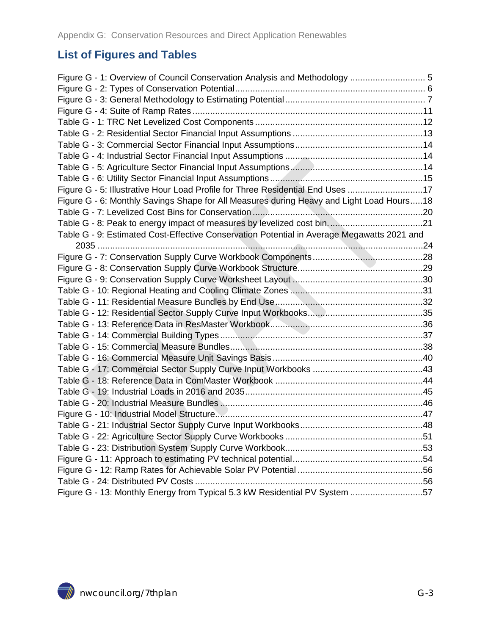### **List of Figures and Tables**

<span id="page-2-0"></span>

| Figure G - 1: Overview of Council Conservation Analysis and Methodology  5                 |  |
|--------------------------------------------------------------------------------------------|--|
|                                                                                            |  |
|                                                                                            |  |
|                                                                                            |  |
|                                                                                            |  |
|                                                                                            |  |
|                                                                                            |  |
|                                                                                            |  |
|                                                                                            |  |
|                                                                                            |  |
| Figure G - 5: Illustrative Hour Load Profile for Three Residential End Uses 17             |  |
| Figure G - 6: Monthly Savings Shape for All Measures during Heavy and Light Load Hours18   |  |
|                                                                                            |  |
|                                                                                            |  |
| Table G - 9: Estimated Cost-Effective Conservation Potential in Average Megawatts 2021 and |  |
|                                                                                            |  |
|                                                                                            |  |
|                                                                                            |  |
|                                                                                            |  |
|                                                                                            |  |
|                                                                                            |  |
|                                                                                            |  |
|                                                                                            |  |
|                                                                                            |  |
|                                                                                            |  |
|                                                                                            |  |
|                                                                                            |  |
|                                                                                            |  |
|                                                                                            |  |
|                                                                                            |  |
|                                                                                            |  |
|                                                                                            |  |
|                                                                                            |  |
|                                                                                            |  |
|                                                                                            |  |
|                                                                                            |  |
|                                                                                            |  |
| Figure G - 13: Monthly Energy from Typical 5.3 kW Residential PV System 57                 |  |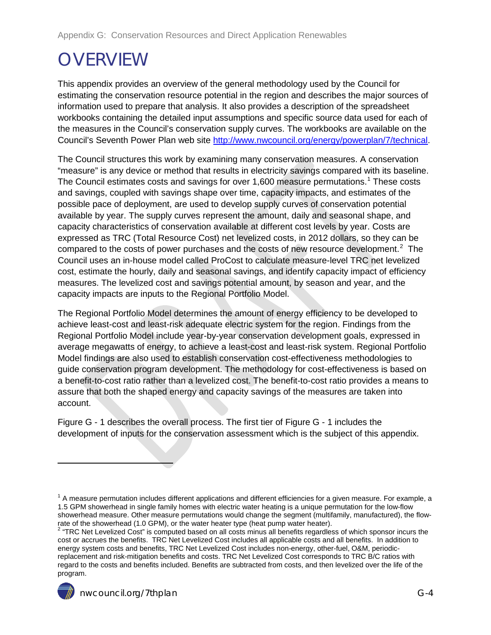# **OVERVIEW**

This appendix provides an overview of the general methodology used by the Council for estimating the conservation resource potential in the region and describes the major sources of information used to prepare that analysis. It also provides a description of the spreadsheet workbooks containing the detailed input assumptions and specific source data used for each of the measures in the Council's conservation supply curves. The workbooks are available on the Council's Seventh Power Plan web site [http://www.nwcouncil.org/energy/powerplan/7/technical.](http://www.nwcouncil.org/energy/powerplan/7/technical)

The Council structures this work by examining many conservation measures. A conservation "measure" is any device or method that results in electricity savings compared with its baseline. The Council estimates costs and savings for over [1](#page-0-0),600 measure permutations.<sup>1</sup> These costs and savings, coupled with savings shape over time, capacity impacts, and estimates of the possible pace of deployment, are used to develop supply curves of conservation potential available by year. The supply curves represent the amount, daily and seasonal shape, and capacity characteristics of conservation available at different cost levels by year. Costs are expressed as TRC (Total Resource Cost) net levelized costs, in 2012 dollars, so they can be compared to the costs of power purchases and the costs of new resource development.<sup>[2](#page-3-0)</sup> The Council uses an in-house model called ProCost to calculate measure-level TRC net levelized cost, estimate the hourly, daily and seasonal savings, and identify capacity impact of efficiency measures. The levelized cost and savings potential amount, by season and year, and the capacity impacts are inputs to the Regional Portfolio Model.

The Regional Portfolio Model determines the amount of energy efficiency to be developed to achieve least-cost and least-risk adequate electric system for the region. Findings from the Regional Portfolio Model include year-by-year conservation development goals, expressed in average megawatts of energy, to achieve a least-cost and least-risk system. Regional Portfolio Model findings are also used to establish conservation cost-effectiveness methodologies to guide conservation program development. The methodology for cost-effectiveness is based on a benefit-to-cost ratio rather than a levelized cost. The benefit-to-cost ratio provides a means to assure that both the shaped energy and capacity savings of the measures are taken into account.

[Figure G -](#page-4-1) 1 describes the overall process. The first tier of [Figure G -](#page-4-1) 1 includes the development of inputs for the conservation assessment which is the subject of this appendix.

<span id="page-3-1"></span><span id="page-3-0"></span><sup>2</sup> "TRC Net Levelized Cost" is computed based on all costs minus all benefits regardless of which sponsor incurs the cost or accrues the benefits. TRC Net Levelized Cost includes all applicable costs and all benefits. In addition to energy system costs and benefits, TRC Net Levelized Cost includes non-energy, other-fuel, O&M, periodicreplacement and risk-mitigation benefits and costs. TRC Net Levelized Cost corresponds to TRC B/C ratios with regard to the costs and benefits included. Benefits are subtracted from costs, and then levelized over the life of the program.



 $\ddot{\phantom{a}}$ 

 $1$  A measure permutation includes different applications and different efficiencies for a given measure. For example, a 1.5 GPM showerhead in single family homes with electric water heating is a unique permutation for the low-flow showerhead measure. Other measure permutations would change the segment (multifamily, manufactured), the flowrate of the showerhead (1.0 GPM), or the water heater type (heat pump water heater).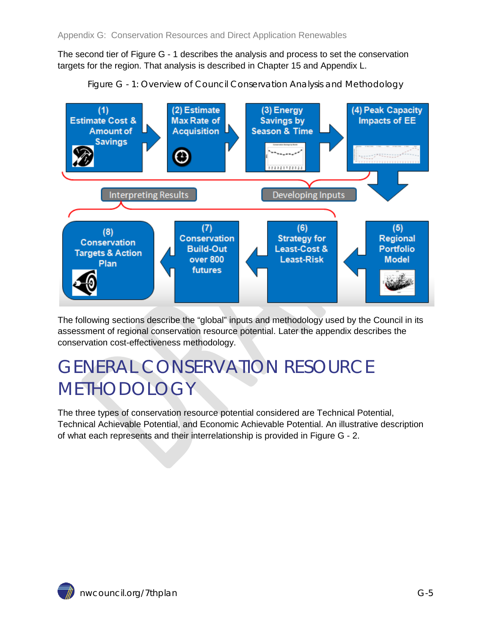The second tier of [Figure G -](#page-4-1) 1 describes the analysis and process to set the conservation targets for the region. That analysis is described in Chapter 15 and Appendix L.



<span id="page-4-1"></span>

The following sections describe the "global" inputs and methodology used by the Council in its assessment of regional conservation resource potential. Later the appendix describes the conservation cost-effectiveness methodology.

# <span id="page-4-0"></span>GENERAL CONSERVATION RESOURCE METHODOLOGY

The three types of conservation resource potential considered are Technical Potential, Technical Achievable Potential, and Economic Achievable Potential. An illustrative description of what each represents and their interrelationship is provided in [Figure G -](#page-5-0) 2.

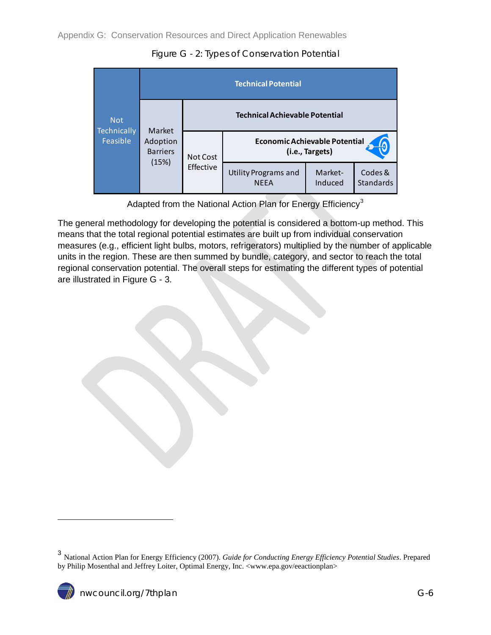

<span id="page-5-0"></span>

Adapted from the National Action Plan for Energy Efficiency<sup>[3](#page-3-1)</sup>

The general methodology for developing the potential is considered a bottom-up method. This means that the total regional potential estimates are built up from individual conservation measures (e.g., efficient light bulbs, motors, refrigerators) multiplied by the number of applicable units in the region. These are then summed by bundle, category, and sector to reach the total regional conservation potential. The overall steps for estimating the different types of potential are illustrated in [Figure G -](#page-6-0) 3.



<sup>3</sup> National Action Plan for Energy Efficiency (2007). *Guide for Conducting Energy Efficiency Potential Studies*. Prepared by Philip Mosenthal and Jeffrey Loiter, Optimal Energy, Inc. <www.epa.gov/eeactionplan>

<span id="page-5-1"></span>-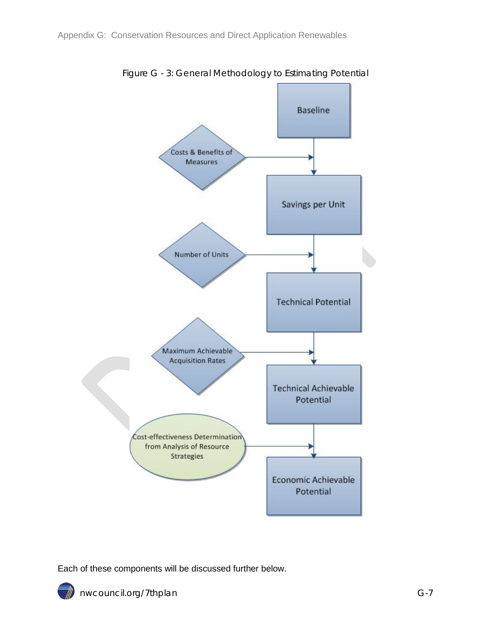<span id="page-6-0"></span>

Figure G - 3: General Methodology to Estimating Potential

Each of these components will be discussed further below.

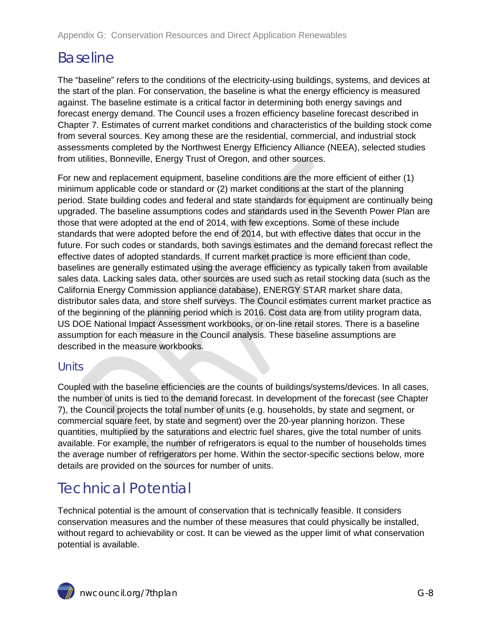## <span id="page-7-0"></span>Baseline

The "baseline" refers to the conditions of the electricity-using buildings, systems, and devices at the start of the plan. For conservation, the baseline is what the energy efficiency is measured against. The baseline estimate is a critical factor in determining both energy savings and forecast energy demand. The Council uses a frozen efficiency baseline forecast described in Chapter 7. Estimates of current market conditions and characteristics of the building stock come from several sources. Key among these are the residential, commercial, and industrial stock assessments completed by the Northwest Energy Efficiency Alliance (NEEA), selected studies from utilities, Bonneville, Energy Trust of Oregon, and other sources.

For new and replacement equipment, baseline conditions are the more efficient of either (1) minimum applicable code or standard or (2) market conditions at the start of the planning period. State building codes and federal and state standards for equipment are continually being upgraded. The baseline assumptions codes and standards used in the Seventh Power Plan are those that were adopted at the end of 2014, with few exceptions. Some of these include standards that were adopted before the end of 2014, but with effective dates that occur in the future. For such codes or standards, both savings estimates and the demand forecast reflect the effective dates of adopted standards. If current market practice is more efficient than code, baselines are generally estimated using the average efficiency as typically taken from available sales data. Lacking sales data, other sources are used such as retail stocking data (such as the California Energy Commission appliance database), ENERGY STAR market share data, distributor sales data, and store shelf surveys. The Council estimates current market practice as of the beginning of the planning period which is 2016. Cost data are from utility program data, US DOE National Impact Assessment workbooks, or on-line retail stores. There is a baseline assumption for each measure in the Council analysis. These baseline assumptions are described in the measure workbooks.

### <span id="page-7-1"></span>**Units**

Coupled with the baseline efficiencies are the counts of buildings/systems/devices. In all cases, the number of units is tied to the demand forecast. In development of the forecast (see Chapter 7), the Council projects the total number of units (e.g. households, by state and segment, or commercial square feet, by state and segment) over the 20-year planning horizon. These quantities, multiplied by the saturations and electric fuel shares, give the total number of units available. For example, the number of refrigerators is equal to the number of households times the average number of refrigerators per home. Within the sector-specific sections below, more details are provided on the sources for number of units.

## <span id="page-7-2"></span>Technical Potential

Technical potential is the amount of conservation that is technically feasible. It considers conservation measures and the number of these measures that could physically be installed, without regard to achievability or cost. It can be viewed as the upper limit of what conservation potential is available.

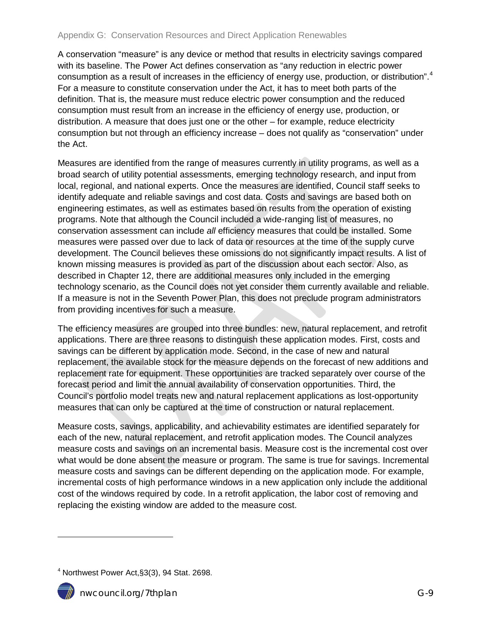A conservation "measure" is any device or method that results in electricity savings compared with its baseline. The Power Act defines conservation as "any reduction in electric power consumption as a result of increases in the efficiency of energy use, production, or distribution".<sup>[4](#page-5-1)</sup> For a measure to constitute conservation under the Act, it has to meet both parts of the definition. That is, the measure must reduce electric power consumption and the reduced consumption must result from an increase in the efficiency of energy use, production, or distribution. A measure that does just one or the other – for example, reduce electricity consumption but not through an efficiency increase – does not qualify as "conservation" under the Act.

Measures are identified from the range of measures currently in utility programs, as well as a broad search of utility potential assessments, emerging technology research, and input from local, regional, and national experts. Once the measures are identified, Council staff seeks to identify adequate and reliable savings and cost data. Costs and savings are based both on engineering estimates, as well as estimates based on results from the operation of existing programs. Note that although the Council included a wide-ranging list of measures, no conservation assessment can include *all* efficiency measures that could be installed. Some measures were passed over due to lack of data or resources at the time of the supply curve development. The Council believes these omissions do not significantly impact results. A list of known missing measures is provided as part of the discussion about each sector. Also, as described in Chapter 12, there are additional measures only included in the emerging technology scenario, as the Council does not yet consider them currently available and reliable. If a measure is not in the Seventh Power Plan, this does not preclude program administrators from providing incentives for such a measure.

The efficiency measures are grouped into three bundles: new, natural replacement, and retrofit applications. There are three reasons to distinguish these application modes. First, costs and savings can be different by application mode. Second, in the case of new and natural replacement, the available stock for the measure depends on the forecast of new additions and replacement rate for equipment. These opportunities are tracked separately over course of the forecast period and limit the annual availability of conservation opportunities. Third, the Council's portfolio model treats new and natural replacement applications as lost-opportunity measures that can only be captured at the time of construction or natural replacement.

Measure costs, savings, applicability, and achievability estimates are identified separately for each of the new, natural replacement, and retrofit application modes. The Council analyzes measure costs and savings on an incremental basis. Measure cost is the incremental cost over what would be done absent the measure or program. The same is true for savings. Incremental measure costs and savings can be different depending on the application mode. For example, incremental costs of high performance windows in a new application only include the additional cost of the windows required by code. In a retrofit application, the labor cost of removing and replacing the existing window are added to the measure cost.

<span id="page-8-0"></span> $4$  Northwest Power Act, §3(3), 94 Stat. 2698.



-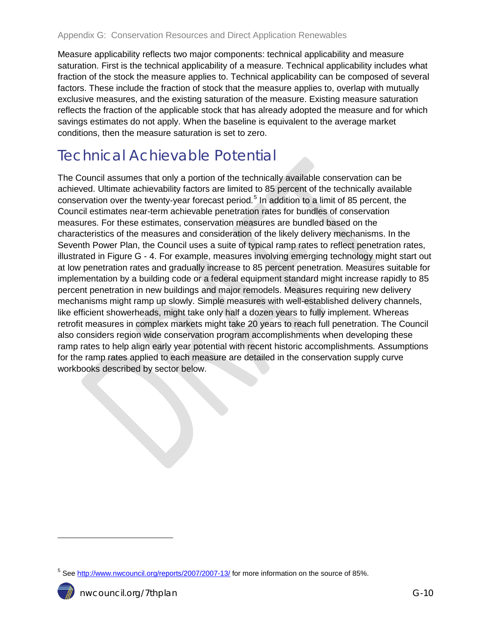Measure applicability reflects two major components: technical applicability and measure saturation. First is the technical applicability of a measure. Technical applicability includes what fraction of the stock the measure applies to. Technical applicability can be composed of several factors. These include the fraction of stock that the measure applies to, overlap with mutually exclusive measures, and the existing saturation of the measure. Existing measure saturation reflects the fraction of the applicable stock that has already adopted the measure and for which savings estimates do not apply. When the baseline is equivalent to the average market conditions, then the measure saturation is set to zero.

## <span id="page-9-0"></span>Technical Achievable Potential

The Council assumes that only a portion of the technically available conservation can be achieved. Ultimate achievability factors are limited to 85 percent of the technically available conservation over the twenty-year forecast period.<sup>[5](#page-8-0)</sup> In addition to a limit of 85 percent, the Council estimates near-term achievable penetration rates for bundles of conservation measures. For these estimates, conservation measures are bundled based on the characteristics of the measures and consideration of the likely delivery mechanisms. In the Seventh Power Plan, the Council uses a suite of typical ramp rates to reflect penetration rates, illustrated in [Figure G -](#page-10-2) 4. For example, measures involving emerging technology might start out at low penetration rates and gradually increase to 85 percent penetration. Measures suitable for implementation by a building code or a federal equipment standard might increase rapidly to 85 percent penetration in new buildings and major remodels. Measures requiring new delivery mechanisms might ramp up slowly. Simple measures with well-established delivery channels, like efficient showerheads, might take only half a dozen years to fully implement. Whereas retrofit measures in complex markets might take 20 years to reach full penetration. The Council also considers region wide conservation program accomplishments when developing these ramp rates to help align early year potential with recent historic accomplishments. Assumptions for the ramp rates applied to each measure are detailed in the conservation supply curve workbooks described by sector below.

<span id="page-9-1"></span><sup>&</sup>lt;sup>5</sup> See<http://www.nwcouncil.org/reports/2007/2007-13/> for more information on the source of 85%.



 $\overline{a}$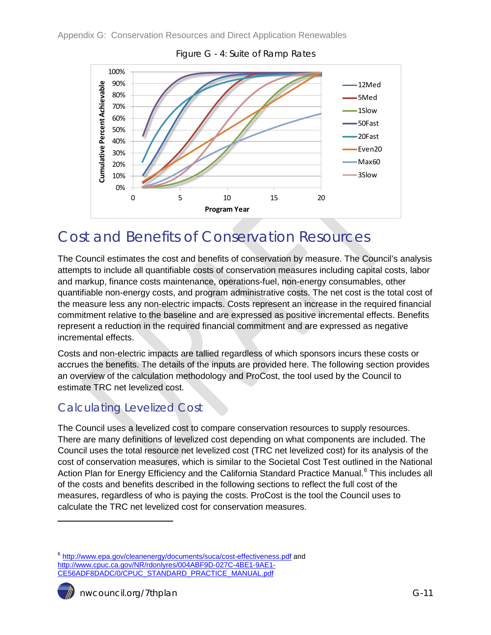<span id="page-10-2"></span>

Figure G - 4: Suite of Ramp Rates

### <span id="page-10-0"></span>Cost and Benefits of Conservation Resources

The Council estimates the cost and benefits of conservation by measure. The Council's analysis attempts to include all quantifiable costs of conservation measures including capital costs, labor and markup, finance costs maintenance, operations-fuel, non-energy consumables, other quantifiable non-energy costs, and program administrative costs. The net cost is the total cost of the measure less any non-electric impacts. Costs represent an increase in the required financial commitment relative to the baseline and are expressed as positive incremental effects. Benefits represent a reduction in the required financial commitment and are expressed as negative incremental effects.

Costs and non-electric impacts are tallied regardless of which sponsors incurs these costs or accrues the benefits. The details of the inputs are provided here. The following section provides an overview of the calculation methodology and ProCost, the tool used by the Council to estimate TRC net levelized cost.

### <span id="page-10-1"></span>Calculating Levelized Cost

The Council uses a levelized cost to compare conservation resources to supply resources. There are many definitions of levelized cost depending on what components are included. The Council uses the total resource net levelized cost (TRC net levelized cost) for its analysis of the cost of conservation measures, which is similar to the Societal Cost Test outlined in the National Action Plan for Energy Efficiency and the California Standard Practice Manual.<sup>[6](#page-9-1)</sup> This includes all of the costs and benefits described in the following sections to reflect the full cost of the measures, regardless of who is paying the costs. ProCost is the tool the Council uses to calculate the TRC net levelized cost for conservation measures.

<span id="page-10-3"></span><sup>&</sup>lt;sup>6</sup> <http://www.epa.gov/cleanenergy/documents/suca/cost-effectiveness.pdf> and [http://www.cpuc.ca.gov/NR/rdonlyres/004ABF9D-027C-4BE1-9AE1-](http://www.cpuc.ca.gov/NR/rdonlyres/004ABF9D-027C-4BE1-9AE1-CE56ADF8DADC/0/CPUC_STANDARD_PRACTICE_MANUAL.pdf) [CE56ADF8DADC/0/CPUC\\_STANDARD\\_PRACTICE\\_MANUAL.pdf](http://www.cpuc.ca.gov/NR/rdonlyres/004ABF9D-027C-4BE1-9AE1-CE56ADF8DADC/0/CPUC_STANDARD_PRACTICE_MANUAL.pdf)



 $\ddot{\phantom{a}}$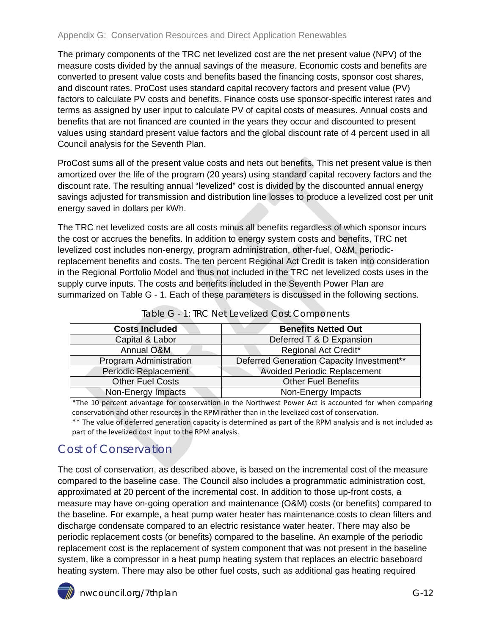The primary components of the TRC net levelized cost are the net present value (NPV) of the measure costs divided by the annual savings of the measure. Economic costs and benefits are converted to present value costs and benefits based the financing costs, sponsor cost shares, and discount rates. ProCost uses standard capital recovery factors and present value (PV) factors to calculate PV costs and benefits. Finance costs use sponsor-specific interest rates and terms as assigned by user input to calculate PV of capital costs of measures. Annual costs and benefits that are not financed are counted in the years they occur and discounted to present values using standard present value factors and the global discount rate of 4 percent used in all Council analysis for the Seventh Plan.

ProCost sums all of the present value costs and nets out benefits. This net present value is then amortized over the life of the program (20 years) using standard capital recovery factors and the discount rate. The resulting annual "levelized" cost is divided by the discounted annual energy savings adjusted for transmission and distribution line losses to produce a levelized cost per unit energy saved in dollars per kWh.

The TRC net levelized costs are all costs minus all benefits regardless of which sponsor incurs the cost or accrues the benefits. In addition to energy system costs and benefits, TRC net levelized cost includes non-energy, program administration, other-fuel, O&M, periodicreplacement benefits and costs. The ten percent Regional Act Credit is taken into consideration in the Regional Portfolio Model and thus not included in the TRC net levelized costs uses in the supply curve inputs. The costs and benefits included in the Seventh Power Plan are summarized on [Table G -](#page-11-1) 1. Each of these parameters is discussed in the following sections.

<span id="page-11-1"></span>

| <b>Benefits Netted Out</b>                |
|-------------------------------------------|
| Deferred T & D Expansion                  |
| <b>Regional Act Credit*</b>               |
| Deferred Generation Capacity Investment** |
| <b>Avoided Periodic Replacement</b>       |
| <b>Other Fuel Benefits</b>                |
| Non-Energy Impacts                        |
|                                           |

Table G - 1: TRC Net Levelized Cost Components

\*The 10 percent advantage for conservation in the Northwest Power Act is accounted for when comparing conservation and other resources in the RPM rather than in the levelized cost of conservation.

\*\* The value of deferred generation capacity is determined as part of the RPM analysis and is not included as part of the levelized cost input to the RPM analysis.

### <span id="page-11-0"></span>Cost of Conservation

The cost of conservation, as described above, is based on the incremental cost of the measure compared to the baseline case. The Council also includes a programmatic administration cost, approximated at 20 percent of the incremental cost. In addition to those up-front costs, a measure may have on-going operation and maintenance (O&M) costs (or benefits) compared to the baseline. For example, a heat pump water heater has maintenance costs to clean filters and discharge condensate compared to an electric resistance water heater. There may also be periodic replacement costs (or benefits) compared to the baseline. An example of the periodic replacement cost is the replacement of system component that was not present in the baseline system, like a compressor in a heat pump heating system that replaces an electric baseboard heating system. There may also be other fuel costs, such as additional gas heating required

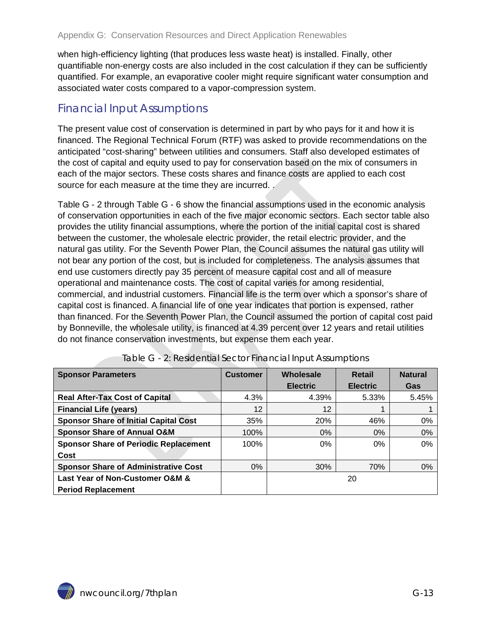when high-efficiency lighting (that produces less waste heat) is installed. Finally, other quantifiable non-energy costs are also included in the cost calculation if they can be sufficiently quantified. For example, an evaporative cooler might require significant water consumption and associated water costs compared to a vapor-compression system.

#### <span id="page-12-0"></span>Financial Input Assumptions

The present value cost of conservation is determined in part by who pays for it and how it is financed. The Regional Technical Forum (RTF) was asked to provide recommendations on the anticipated "cost-sharing" between utilities and consumers. Staff also developed estimates of the cost of capital and equity used to pay for conservation based on the mix of consumers in each of the major sectors. These costs shares and fin[ance costs are applied to each cost](#page-12-2)  source for each measure at the time they are incurred.

[Table G -](#page-12-2) 2 through [Table G -](#page-14-1) 6 show the financial assumptions used in the economic analysis of conservation opportunities in each of the five major economic sectors. Each sector table also provides the utility financial assumptions, where the portion of the initial capital cost is shared between the customer, the wholesale electric provider, the retail electric provider, and the natural gas utility. For the Seventh Power Plan, the Council assumes the natural gas utility will not bear any portion of the cost, but is included for completeness. The analysis assumes that end use customers directly pay 35 percent of measure capital cost and all of measure operational and maintenance costs. The cost of capital varies for among residential, commercial, and industrial customers. Financial life is the term over which a sponsor's share of capital cost is financed. A financial life of one year indicates that portion is expensed, rather than financed. For the Seventh Power Plan, the Council assumed the portion of capital cost paid by Bonneville, the wholesale utility, is financed at 4.39 percent over 12 years and retail utilities do not finance conservation investments, but expense them each year.

<span id="page-12-1"></span>

| <b>Sponsor Parameters</b>                    | <b>Customer</b> | Wholesale<br>Retail |                 | <b>Natural</b> |
|----------------------------------------------|-----------------|---------------------|-----------------|----------------|
|                                              |                 | <b>Electric</b>     | <b>Electric</b> | Gas            |
| <b>Real After-Tax Cost of Capital</b>        | 4.3%            | 4.39%               | 5.33%           | 5.45%          |
| <b>Financial Life (years)</b>                | $12 \,$         | 12                  |                 |                |
| <b>Sponsor Share of Initial Capital Cost</b> | 35%             | 20%                 | 46%             | $0\%$          |
| <b>Sponsor Share of Annual O&amp;M</b>       | $100\%$         | 0%                  | $0\%$           | 0%             |
| <b>Sponsor Share of Periodic Replacement</b> | 100%            | $0\%$               | $0\%$           | 0%             |
| Cost                                         |                 |                     |                 |                |
| <b>Sponsor Share of Administrative Cost</b>  | $0\%$           | 30%                 | 70%             | 0%             |
| Last Year of Non-Customer O&M &              |                 |                     | 20              |                |
| <b>Period Replacement</b>                    |                 |                     |                 |                |

<span id="page-12-2"></span>

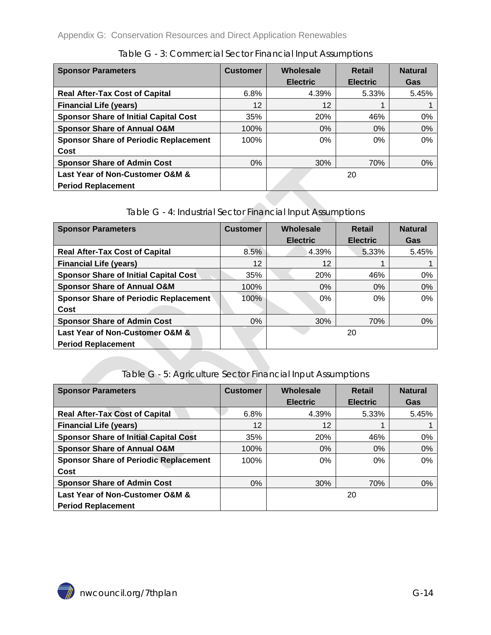<span id="page-13-0"></span>

| <b>Sponsor Parameters</b>                    | <b>Customer</b> | Wholesale       | Retail          | <b>Natural</b> |
|----------------------------------------------|-----------------|-----------------|-----------------|----------------|
|                                              |                 | <b>Electric</b> | <b>Electric</b> | Gas            |
| <b>Real After-Tax Cost of Capital</b>        | 6.8%            | 4.39%           | 5.33%           | 5.45%          |
| <b>Financial Life (years)</b>                | 12              | 12              |                 |                |
| <b>Sponsor Share of Initial Capital Cost</b> | 35%             | <b>20%</b>      | 46%             | $0\%$          |
| <b>Sponsor Share of Annual O&amp;M</b>       | 100%            | $0\%$           | $0\%$           | 0%             |
| <b>Sponsor Share of Periodic Replacement</b> | 100%            | 0%              | 0%              | 0%             |
| Cost                                         |                 |                 |                 |                |
| <b>Sponsor Share of Admin Cost</b>           | $0\%$           | 30%             | 70%             | 0%             |
| Last Year of Non-Customer O&M &              |                 |                 | 20              |                |
| <b>Period Replacement</b>                    |                 |                 |                 |                |

Table G - 3: Commercial Sector Financial Input Assumptions

#### Table G - 4: Industrial Sector Financial Input Assumptions

<span id="page-13-1"></span>

| <b>Sponsor Parameters</b>                    | <b>Customer</b> | Wholesale       | Retail          | <b>Natural</b> |
|----------------------------------------------|-----------------|-----------------|-----------------|----------------|
|                                              |                 | <b>Electric</b> | <b>Electric</b> | Gas            |
| <b>Real After-Tax Cost of Capital</b>        | 8.5%            | 4.39%           | 5.33%           | 5.45%          |
| <b>Financial Life (years)</b>                | 12              | 12              |                 |                |
| <b>Sponsor Share of Initial Capital Cost</b> | 35%             | 20%             | 46%             | 0%             |
| <b>Sponsor Share of Annual O&amp;M</b>       | 100%            | $0\%$           | $0\%$           | 0%             |
| <b>Sponsor Share of Periodic Replacement</b> | 100%            | $0\%$           | $0\%$           | 0%             |
| Cost                                         |                 |                 |                 |                |
| <b>Sponsor Share of Admin Cost</b>           | $0\%$           | 30%             | 70%             | $0\%$          |
| Last Year of Non-Customer O&M &              |                 |                 | 20              |                |
| <b>Period Replacement</b>                    |                 |                 |                 |                |

#### Table G - 5: Agriculture Sector Financial Input Assumptions

<span id="page-13-2"></span>

| <b>Sponsor Parameters</b>                    | <b>Customer</b> | Wholesale       | Retail          | <b>Natural</b> |
|----------------------------------------------|-----------------|-----------------|-----------------|----------------|
|                                              |                 | <b>Electric</b> | <b>Electric</b> | Gas            |
| <b>Real After-Tax Cost of Capital</b>        | 6.8%            | 4.39%           | 5.33%           | 5.45%          |
| <b>Financial Life (years)</b>                | 12              | 12              |                 |                |
| <b>Sponsor Share of Initial Capital Cost</b> | 35%             | <b>20%</b>      | 46%             | 0%             |
| <b>Sponsor Share of Annual O&amp;M</b>       | 100%            | 0%              | $0\%$           | 0%             |
| <b>Sponsor Share of Periodic Replacement</b> | 100%            | $0\%$           | $0\%$           | 0%             |
| Cost                                         |                 |                 |                 |                |
| <b>Sponsor Share of Admin Cost</b>           | $0\%$           | 30%             | 70%             | 0%             |
| Last Year of Non-Customer O&M &              |                 | 20              |                 |                |
| <b>Period Replacement</b>                    |                 |                 |                 |                |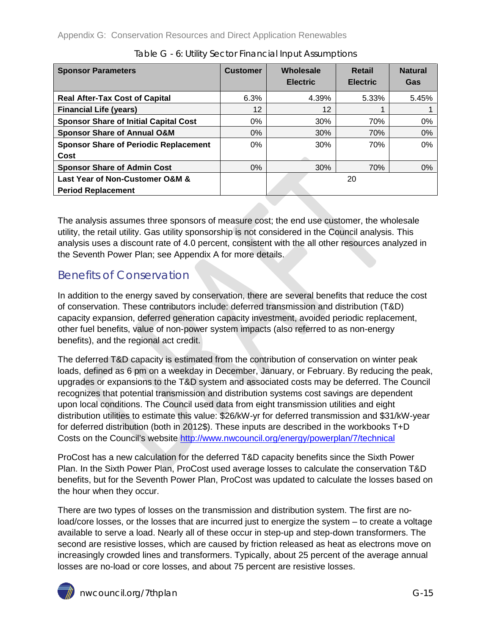<span id="page-14-1"></span>

| <b>Sponsor Parameters</b>                    | <b>Customer</b> | Wholesale<br><b>Electric</b> | <b>Retail</b><br><b>Electric</b> | <b>Natural</b><br>Gas |
|----------------------------------------------|-----------------|------------------------------|----------------------------------|-----------------------|
| <b>Real After-Tax Cost of Capital</b>        | 6.3%            | 4.39%                        | 5.33%                            | 5.45%                 |
| <b>Financial Life (years)</b>                | 12              | 12                           |                                  |                       |
| <b>Sponsor Share of Initial Capital Cost</b> | 0%              | 30%                          | 70%                              | 0%                    |
| <b>Sponsor Share of Annual O&amp;M</b>       | $0\%$           | 30%                          | 70%                              | 0%                    |
| <b>Sponsor Share of Periodic Replacement</b> | $0\%$           | 30%                          | 70%                              | $0\%$                 |
| Cost                                         |                 |                              |                                  |                       |
| <b>Sponsor Share of Admin Cost</b>           | $0\%$           | 30%                          | 70%                              | 0%                    |
| Last Year of Non-Customer O&M &              |                 |                              | 20                               |                       |
| <b>Period Replacement</b>                    |                 |                              |                                  |                       |

The analysis assumes three sponsors of measure cost; the end use customer, the wholesale utility, the retail utility. Gas utility sponsorship is not considered in the Council analysis. This analysis uses a discount rate of 4.0 percent, consistent with the all other resources analyzed in the Seventh Power Plan; see Appendix A for more details.

### <span id="page-14-0"></span>Benefits of Conservation

In addition to the energy saved by conservation, there are several benefits that reduce the cost of conservation. These contributors include: deferred transmission and distribution (T&D) capacity expansion, deferred generation capacity investment, avoided periodic replacement, other fuel benefits, value of non-power system impacts (also referred to as non-energy benefits), and the regional act credit.

The deferred T&D capacity is estimated from the contribution of conservation on winter peak loads, defined as 6 pm on a weekday in December, January, or February. By reducing the peak, upgrades or expansions to the T&D system and associated costs may be deferred. The Council recognizes that potential transmission and distribution systems cost savings are dependent upon local conditions. The Council used data from eight transmission utilities and eight distribution utilities to estimate this value: \$26/kW-yr for deferred transmission and \$31/kW-year for deferred distribution (both in 2012\$). These inputs are described in the workbooks T+D Costs on the Council's website <http://www.nwcouncil.org/energy/powerplan/7/technical>

ProCost has a new calculation for the deferred T&D capacity benefits since the Sixth Power Plan. In the Sixth Power Plan, ProCost used average losses to calculate the conservation T&D benefits, but for the Seventh Power Plan, ProCost was updated to calculate the losses based on the hour when they occur.

There are two types of losses on the transmission and distribution system. The first are noload/core losses, or the losses that are incurred just to energize the system – to create a voltage available to serve a load. Nearly all of these occur in step-up and step-down transformers. The second are resistive losses, which are caused by friction released as heat as electrons move on increasingly crowded lines and transformers. Typically, about 25 percent of the average annual losses are no-load or core losses, and about 75 percent are resistive losses.

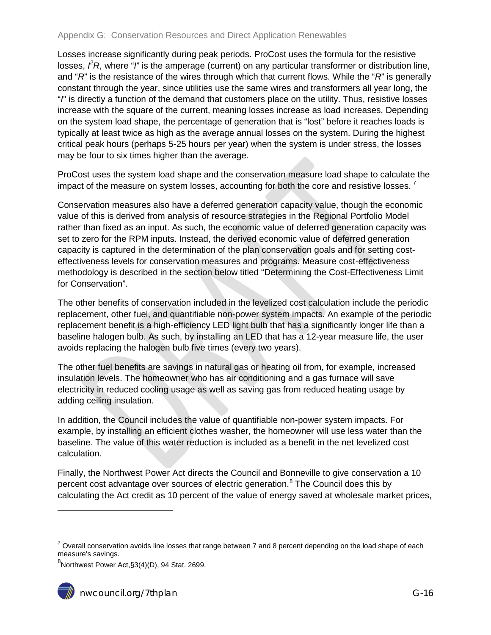Losses increase significantly during peak periods. ProCost uses the formula for the resistive losses,  $\beta R$ , where "*I*" is the amperage (current) on any particular transformer or distribution line, and "*R*" is the resistance of the wires through which that current flows. While the "*R*" is generally constant through the year, since utilities use the same wires and transformers all year long, the "*I*" is directly a function of the demand that customers place on the utility. Thus, resistive losses increase with the square of the current, meaning losses increase as load increases. Depending on the system load shape, the percentage of generation that is "lost" before it reaches loads is typically at least twice as high as the average annual losses on the system. During the highest critical peak hours (perhaps 5-25 hours per year) when the system is under stress, the losses may be four to six times higher than the average.

ProCost uses the system load shape and the conservation measure load shape to calculate the impact of the measure on system losses, accounting for both the core and resistive losses.<sup>[7](#page-10-3)</sup>

Conservation measures also have a deferred generation capacity value, though the economic value of this is derived from analysis of resource strategies in the Regional Portfolio Model rather than fixed as an input. As such, the economic value of deferred generation capacity was set to zero for the RPM inputs. Instead, the derived economic value of deferred generation capacity is captured in the determination of the plan conservation goals and for setting costeffectiveness levels for conservation measures and programs. Measure cost-effectiveness methodology is described in the section below titled "Determining the Cost-Effectiveness Limit for Conservation".

The other benefits of conservation included in the levelized cost calculation include the periodic replacement, other fuel, and quantifiable non-power system impacts. An example of the periodic replacement benefit is a high-efficiency LED light bulb that has a significantly longer life than a baseline halogen bulb. As such, by installing an LED that has a 12-year measure life, the user avoids replacing the halogen bulb five times (every two years).

The other fuel benefits are savings in natural gas or heating oil from, for example, increased insulation levels. The homeowner who has air conditioning and a gas furnace will save electricity in reduced cooling usage as well as saving gas from reduced heating usage by adding ceiling insulation.

In addition, the Council includes the value of quantifiable non-power system impacts. For example, by installing an efficient clothes washer, the homeowner will use less water than the baseline. The value of this water reduction is included as a benefit in the net levelized cost calculation.

Finally, the Northwest Power Act directs the Council and Bonneville to give conservation a 10 percent cost advantage over sources of electric generation.<sup>[8](#page-15-0)</sup> The Council does this by calculating the Act credit as 10 percent of the value of energy saved at wholesale market prices,

<span id="page-15-1"></span><span id="page-15-0"></span> ${}^{8}$ Northwest Power Act, $\S 3(4)$ (D), 94 Stat. 2699.



 $\ddot{\phantom{a}}$ 

 $7$  Overall conservation avoids line losses that range between 7 and 8 percent depending on the load shape of each measure's savings.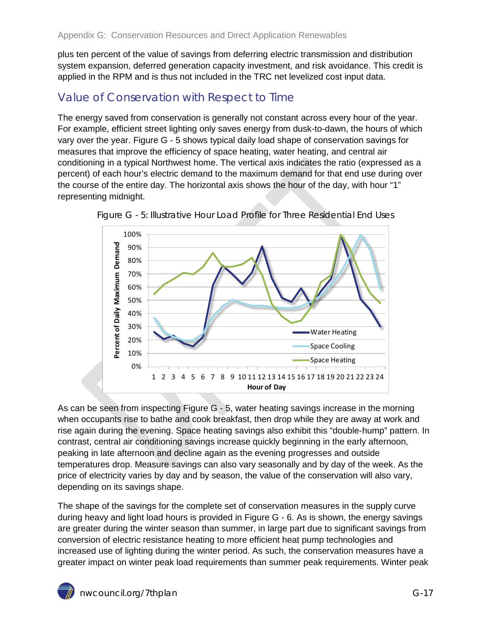plus ten percent of the value of savings from deferring electric transmission and distribution system expansion, deferred generation capacity investment, and risk avoidance. This credit is applied in the RPM and is thus not included in the TRC net levelized cost input data.

### <span id="page-16-0"></span>Value of Conservation with Respect to Time

The energy saved from conservation is generally not constant across every hour of the year. For example, efficient street lighting only saves energy from dusk-to-dawn, the hours of which vary over the year. [Figure G -](#page-16-1) 5 shows typical daily load shape of conservation savings for measures that improve the efficiency of space heating, water heating, and central air conditioning in a typical Northwest home. The vertical axis indicates the ratio (expressed as a percent) of each hour's electric demand to the maximum demand for that end use during over the course of the entire day. The horizontal axis shows the hour of the day, with hour "1" representing midnight.



<span id="page-16-1"></span>

As can be seen from inspecting [Figure G -](#page-16-1) 5, water heating savings increase in the morning when occupants rise to bathe and cook breakfast, then drop while they are away at work and rise again during the evening. Space heating savings also exhibit this "double-hump" pattern. In contrast, central air conditioning savings increase quickly beginning in the early afternoon, peaking in late afternoon and decline again as the evening progresses and outside temperatures drop. Measure savings can also vary seasonally and by day of the week. As the price of electricity varies by day and by season, the value of the conservation will also vary, depending on its savings shape.

The shape of the savings for the complete set of conservation measures in the supply curve during heavy and light load hours is provided in [Figure G -](#page-17-1) 6. As is shown, the energy savings are greater during the winter season than summer, in large part due to significant savings from conversion of electric resistance heating to more efficient heat pump technologies and increased use of lighting during the winter period. As such, the conservation measures have a greater impact on winter peak load requirements than summer peak requirements. Winter peak

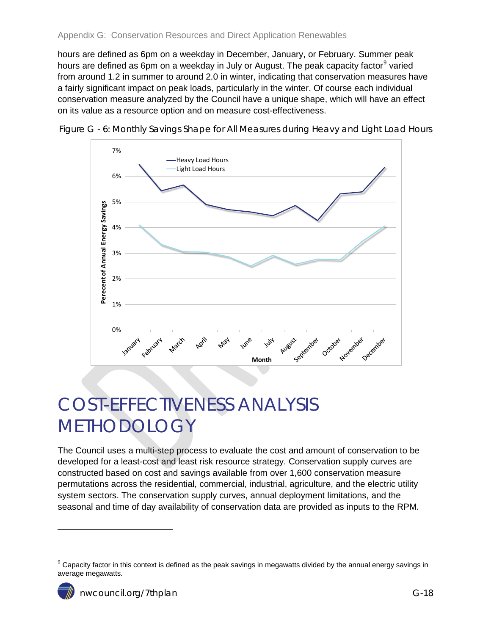hours are defined as 6pm on a weekday in December, January, or February. Summer peak hours are defined as 6pm on a weekday in July or August. The peak capacity factor<sup>[9](#page-15-1)</sup> varied from around 1.2 in summer to around 2.0 in winter, indicating that conservation measures have a fairly significant impact on peak loads, particularly in the winter. Of course each individual conservation measure analyzed by the Council have a unique shape, which will have an effect on its value as a resource option and on measure cost-effectiveness.



<span id="page-17-1"></span>Figure G - 6: Monthly Savings Shape for All Measures during Heavy and Light Load Hours

# <span id="page-17-0"></span>COST-EFFECTIVENESS ANALYSIS METHODOLOGY

The Council uses a multi-step process to evaluate the cost and amount of conservation to be developed for a least-cost and least risk resource strategy. Conservation supply curves are constructed based on cost and savings available from over 1,600 conservation measure permutations across the residential, commercial, industrial, agriculture, and the electric utility system sectors. The conservation supply curves, annual deployment limitations, and the seasonal and time of day availability of conservation data are provided as inputs to the RPM.

 $\ddot{\phantom{a}}$ 

<span id="page-17-2"></span> $9$  Capacity factor in this context is defined as the peak savings in megawatts divided by the annual energy savings in average megawatts.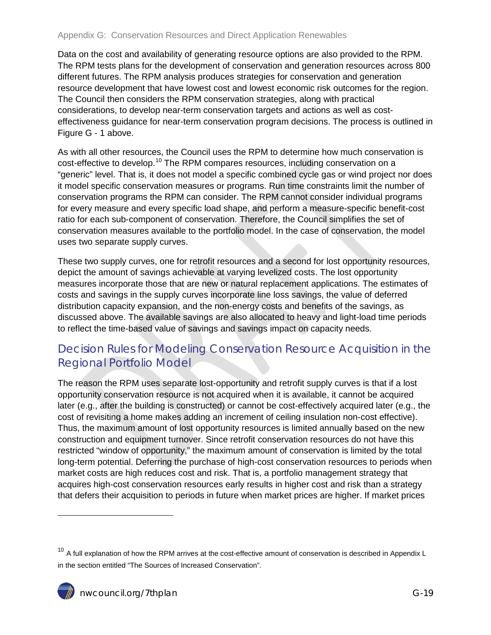Data on the cost and availability of generating resource options are also provided to the RPM. The RPM tests plans for the development of conservation and generation resources across 800 different futures. The RPM analysis produces strategies for conservation and generation resource development that have lowest cost and lowest economic risk outcomes for the region. The Council then considers the RPM conservation strategies, along with practical considerations, to develop near-term conservation targets and actions as well as costeffectiveness guidance for near-term conservation program decisions. The process is outlined in [Figure G -](#page-4-1) 1 above.

As with all other resources, the Council uses the RPM to determine how much conservation is cost-effective to develop.<sup>[10](#page-17-2)</sup> The RPM compares resources, including conservation on a "generic" level. That is, it does not model a specific combined cycle gas or wind project nor does it model specific conservation measures or programs. Run time constraints limit the number of conservation programs the RPM can consider. The RPM cannot consider individual programs for every measure and every specific load shape, and perform a measure-specific benefit-cost ratio for each sub-component of conservation. Therefore, the Council simplifies the set of conservation measures available to the portfolio model. In the case of conservation, the model uses two separate supply curves.

These two supply curves, one for retrofit resources and a second for lost opportunity resources, depict the amount of savings achievable at varying levelized costs. The lost opportunity measures incorporate those that are new or natural replacement applications. The estimates of costs and savings in the supply curves incorporate line loss savings, the value of deferred distribution capacity expansion, and the non-energy costs and benefits of the savings, as discussed above. The available savings are also allocated to heavy and light-load time periods to reflect the time-based value of savings and savings impact on capacity needs.

### <span id="page-18-0"></span>Decision Rules for Modeling Conservation Resource Acquisition in the Regional Portfolio Model

The reason the RPM uses separate lost-opportunity and retrofit supply curves is that if a lost opportunity conservation resource is not acquired when it is available, it cannot be acquired later (e.g., after the building is constructed) or cannot be cost-effectively acquired later (e.g., the cost of revisiting a home makes adding an increment of ceiling insulation non-cost effective). Thus, the maximum amount of lost opportunity resources is limited annually based on the new construction and equipment turnover. Since retrofit conservation resources do not have this restricted "window of opportunity," the maximum amount of conservation is limited by the total long-term potential. Deferring the purchase of high-cost conservation resources to periods when market costs are high reduces cost and risk. That is, a portfolio management strategy that acquires high-cost conservation resources early results in higher cost and risk than a strategy that defers their acquisition to periods in future when market prices are higher. If market prices

<span id="page-18-1"></span> $10$  A full explanation of how the RPM arrives at the cost-effective amount of conservation is described in Appendix L in the section entitled "The Sources of Increased Conservation".



 $\overline{a}$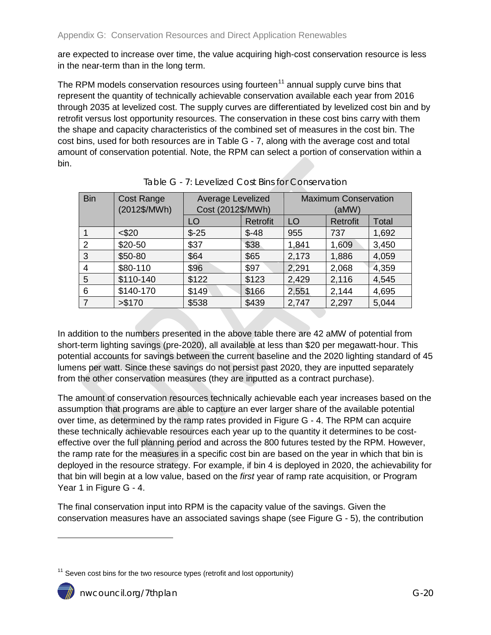are expected to increase over time, the value acquiring high-cost conservation resource is less in the near-term than in the long term.

The RPM models conservation resources using fourteen<sup>[11](#page-18-1)</sup> annual supply curve bins that represent the quantity of technically achievable conservation available each year from 2016 through 2035 at levelized cost. The supply curves are differentiated by levelized cost bin and by retrofit versus lost opportunity resources. The conservation in these cost bins carry with them the shape and capacity characteristics of the combined set of measures in the cost bin. The cost bins, used for both resources are in [Table G -](#page-19-0) 7, along with the average cost and total amount of conservation potential. Note, the RPM can select a portion of conservation within a bin.

<span id="page-19-0"></span>

| <b>Bin</b>     | <b>Cost Range</b><br>(2012\$/MWh) | Average Levelized<br>Cost (2012\$/MWh) |                 | <b>Maximum Conservation</b><br>(aMW) |          |              |
|----------------|-----------------------------------|----------------------------------------|-----------------|--------------------------------------|----------|--------------|
|                |                                   | LO                                     | <b>Retrofit</b> | LO                                   | Retrofit | <b>Total</b> |
|                | $<$ \$20                          | $$-25$                                 | $$ -48$         | 955                                  | 737      | 1,692        |
| 2              | \$20-50                           | \$37                                   | \$38            | 1,841                                | 1,609    | 3,450        |
| 3              | \$50-80                           | \$64                                   | \$65            | 2,173                                | 1,886    | 4,059        |
| $\overline{4}$ | \$80-110                          | \$96                                   | \$97            | 2,291                                | 2,068    | 4,359        |
| 5              | \$110-140                         | \$122                                  | \$123           | 2,429                                | 2,116    | 4,545        |
| 6              | \$140-170                         | \$149                                  | \$166           | 2,551                                | 2,144    | 4,695        |
| 7              | > \$170                           | \$538                                  | \$439           | 2,747                                | 2,297    | 5,044        |

Table G - 7: Levelized Cost Bins for Conservation

In addition to the numbers presented in the above table there are 42 aMW of potential from short-term lighting savings (pre-2020), all available at less than \$20 per megawatt-hour. This potential accounts for savings between the current baseline and the 2020 lighting standard of 45 lumens per watt. Since these savings do not persist past 2020, they are inputted separately from the other conservation measures (they are inputted as a contract purchase).

The amount of conservation resources technically achievable each year increases based on the assumption that programs are able to capture an ever larger share of the available potential over time, as determined by the ramp rates provided in [Figure G -](#page-10-2) 4. The RPM can acquire these technically achievable resources each year up to the quantity it determines to be costeffective over the full planning period and across the 800 futures tested by the RPM. However, the ramp rate for the measures in a specific cost bin are based on the year in which that bin is deployed in the resource strategy. For example, if bin 4 is deployed in 2020, the achievability for that bin will begin at a low value, based on the *first* year of ramp rate acquisition, or Program Year 1 in [Figure G -](#page-10-2) 4.

The final conservation input into RPM is the capacity value of the savings. Given the conservation measures have an associated savings shape (see [Figure G -](#page-16-1) 5), the contribution

 $\overline{a}$ 

<span id="page-19-1"></span> $11$  Seven cost bins for the two resource types (retrofit and lost opportunity)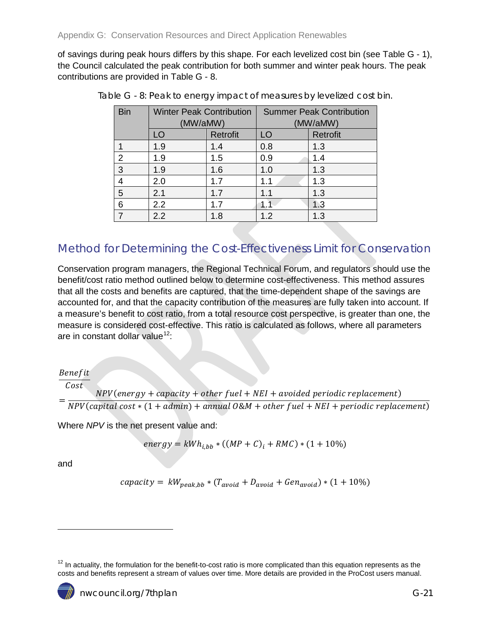<span id="page-20-1"></span>of savings during peak hours differs by this shape. For each levelized cost bin (see [Table G -](#page-11-1) 1), the Council calculated the peak contribution for both summer and winter peak hours. The peak contributions are provided in [Table G -](#page-20-1) 8.

| <b>Bin</b> | <b>Winter Peak Contribution</b><br>(MW/aMW) |                 | <b>Summer Peak Contribution</b><br>(MW/aMW) |          |  |
|------------|---------------------------------------------|-----------------|---------------------------------------------|----------|--|
|            | LO                                          | <b>Retrofit</b> | LO                                          | Retrofit |  |
|            | 1.9                                         | 1.4             | 0.8                                         | 1.3      |  |
| 2          | 1.9                                         | 1.5             | 0.9                                         | 1.4      |  |
| 3          | 1.9                                         | 1.6             | 1.0                                         | 1.3      |  |
|            | 2.0                                         | 1.7             | 1.1                                         | 1.3      |  |
| 5          | 2.1                                         | 1.7             | 1.1                                         | 1.3      |  |
| 6          | 2.2                                         | 1.7             | 11                                          | 1.3      |  |
|            | 2.2                                         | 1.8             | 1.2                                         | 1.3      |  |

Table G - 8: Peak to energy impact of measures by levelized cost bin.

### <span id="page-20-0"></span>Method for Determining the Cost-Effectiveness Limit for Conservation

Conservation program managers, the Regional Technical Forum, and regulators should use the benefit/cost ratio method outlined below to determine cost-effectiveness. This method assures that all the costs and benefits are captured, that the time-dependent shape of the savings are accounted for, and that the capacity contribution of the measures are fully taken into account. If a measure's benefit to cost ratio, from a total resource cost perspective, is greater than one, the measure is considered cost-effective. This ratio is calculated as follows, where all parameters are in constant dollar value<sup>12</sup>:

#### *Benefit*

$$
- \frac{Cost}{NPV (energy + capacity + other fuel + NEI + avoided periodic replacement)} = \frac{NPV (energy + capacity + other fuel + NEI + avoided periodic replacement)}{NPV (capital cost * (1 + admin) + annual O&M + other fuel + NEI + periodic replacement)}
$$

Where *NPV* is the net present value and:

$$
energy = kWh_{i,bb} * ((MP + C)_i + RMC) * (1 + 10\%)
$$

and

$$
capacity = kW_{peak,bb} * (T_{avoid} + D_{avoid} + Gen_{avoid}) * (1 + 10\%)
$$

 $\ddot{\phantom{a}}$ 

<span id="page-20-2"></span> $12$  In actuality, the formulation for the benefit-to-cost ratio is more complicated than this equation represents as the costs and benefits represent a stream of values over time. More details are provided in the ProCost users manual.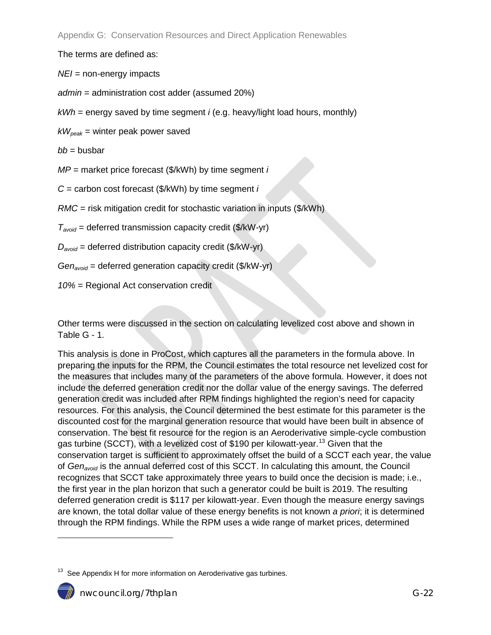The terms are defined as:

*NEI* = non-energy impacts

*admin* = administration cost adder (assumed 20%)

*kWh* = energy saved by time segment *i* (e.g. heavy/light load hours, monthly)

 $kW_{peak}$  = winter peak power saved

*bb* = busbar

*MP* = market price forecast (\$/kWh) by time segment *i*

*C* = carbon cost forecast (\$/kWh) by time segment *i*

*RMC* = risk mitigation credit for stochastic variation in inputs (\$/kWh)

*Tavoid* = deferred transmission capacity credit (\$/kW-yr)

*Davoid* = deferred distribution capacity credit (\$/kW-yr)

*Genavoid* = deferred generation capacity credit (\$/kW-yr)

*10%* = Regional Act conservation credit

Other terms were discussed in the section on calculating levelized cost above and shown in [Table G -](#page-11-1) 1.

This analysis is done in ProCost, which captures all the parameters in the formula above. In preparing the inputs for the RPM, the Council estimates the total resource net levelized cost for the measures that includes many of the parameters of the above formula. However, it does not include the deferred generation credit nor the dollar value of the energy savings. The deferred generation credit was included after RPM findings highlighted the region's need for capacity resources. For this analysis, the Council determined the best estimate for this parameter is the discounted cost for the marginal generation resource that would have been built in absence of conservation. The best fit resource for the region is an Aeroderivative simple-cycle combustion gas turbine (SCCT), with a levelized cost of \$190 per kilowatt-year.<sup>[13](#page-20-2)</sup> Given that the conservation target is sufficient to approximately offset the build of a SCCT each year, the value of *Genavoid* is the annual deferred cost of this SCCT. In calculating this amount, the Council recognizes that SCCT take approximately three years to build once the decision is made; i.e., the first year in the plan horizon that such a generator could be built is 2019. The resulting deferred generation credit is \$117 per kilowatt-year. Even though the measure energy savings are known, the total dollar value of these energy benefits is not known *a priori*; it is determined through the RPM findings. While the RPM uses a wide range of market prices, determined

<span id="page-21-0"></span> $13$  See Appendix H for more information on Aeroderivative gas turbines.



 $\overline{a}$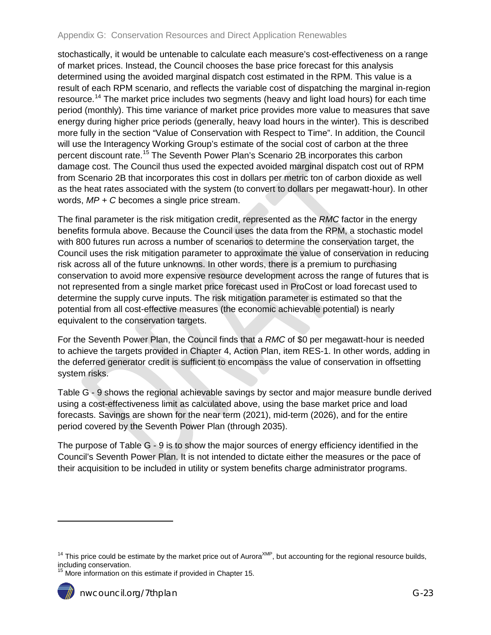stochastically, it would be untenable to calculate each measure's cost-effectiveness on a range of market prices. Instead, the Council chooses the base price forecast for this analysis determined using the avoided marginal dispatch cost estimated in the RPM. This value is a result of each RPM scenario, and reflects the variable cost of dispatching the marginal in-region resource.<sup>[14](#page-21-0)</sup> The market price includes two segments (heavy and light load hours) for each time period (monthly). This time variance of market price provides more value to measures that save energy during higher price periods (generally, heavy load hours in the winter). This is described more fully in the section "Value of Conservation with Respect to Time". In addition, the Council will use the Interagency Working Group's estimate of the social cost of carbon at the three percent discount rate.<sup>[15](#page-22-0)</sup> The Seventh Power Plan's Scenario 2B incorporates this carbon damage cost. The Council thus used the expected avoided marginal dispatch cost out of RPM from Scenario 2B that incorporates this cost in dollars per metric ton of carbon dioxide as well as the heat rates associated with the system (to convert to dollars per megawatt-hour). In other words, *MP + C* becomes a single price stream.

The final parameter is the risk mitigation credit, represented as the *RMC* factor in the energy benefits formula above. Because the Council uses the data from the RPM, a stochastic model with 800 futures run across a number of scenarios to determine the conservation target, the Council uses the risk mitigation parameter to approximate the value of conservation in reducing risk across all of the future unknowns. In other words, there is a premium to purchasing conservation to avoid more expensive resource development across the range of futures that is not represented from a single market price forecast used in ProCost or load forecast used to determine the supply curve inputs. The risk mitigation parameter is estimated so that the potential from all cost-effective measures (the economic achievable potential) is nearly equivalent to the conservation targets.

For the Seventh Power Plan, the Council finds that a *RMC* of \$0 per megawatt-hour is needed to achieve the targets provided in Chapter 4, Action Plan, item RES-1. In other words, adding in the deferred generator credit is sufficient to encompass the value of conservation in offsetting system risks.

[Table G -](#page-23-0) 9 shows the regional achievable savings by sector and major measure bundle derived using a cost-effectiveness limit as calculated above, using the base market price and load forecasts. Savings are shown for the near term (2021), mid-term (2026), and for the entire period covered by the Seventh Power Plan (through 2035).

The purpose of [Table G -](#page-23-0) 9 is to show the major sources of energy efficiency identified in the Council's Seventh Power Plan. It is not intended to dictate either the measures or the pace of their acquisition to be included in utility or system benefits charge administrator programs.

<span id="page-22-1"></span><span id="page-22-0"></span>More information on this estimate if provided in Chapter 15.



 $\ddot{ }$ 

 $14$  This price could be estimate by the market price out of Aurora<sup>XMP</sup>, but accounting for the regional resource builds, including conservation.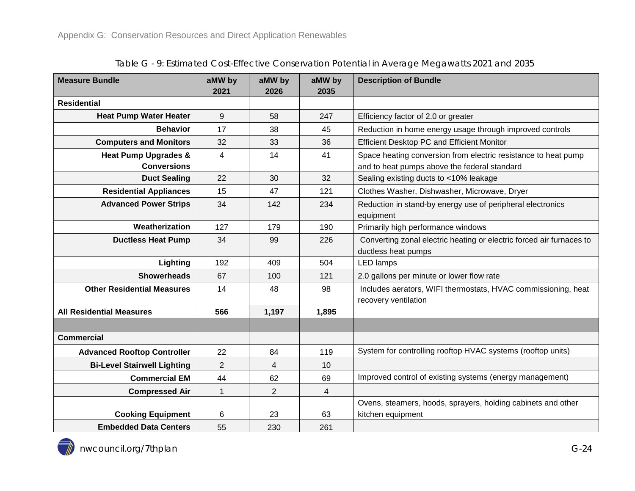<span id="page-23-0"></span>

| <b>Measure Bundle</b>              | aMW by         | aMW by         | aMW by         | <b>Description of Bundle</b>                                         |  |
|------------------------------------|----------------|----------------|----------------|----------------------------------------------------------------------|--|
|                                    | 2021           | 2026           | 2035           |                                                                      |  |
| <b>Residential</b>                 |                |                |                |                                                                      |  |
| <b>Heat Pump Water Heater</b>      | 9              | 58             | 247            | Efficiency factor of 2.0 or greater                                  |  |
| <b>Behavior</b>                    | 17             | 38             | 45             | Reduction in home energy usage through improved controls             |  |
| <b>Computers and Monitors</b>      | 32             | 33             | 36             | <b>Efficient Desktop PC and Efficient Monitor</b>                    |  |
| <b>Heat Pump Upgrades &amp;</b>    | 4              | 14             | 41             | Space heating conversion from electric resistance to heat pump       |  |
| <b>Conversions</b>                 |                |                |                | and to heat pumps above the federal standard                         |  |
| <b>Duct Sealing</b>                | 22             | 30             | 32             | Sealing existing ducts to <10% leakage                               |  |
| <b>Residential Appliances</b>      | 15             | 47             | 121            | Clothes Washer, Dishwasher, Microwave, Dryer                         |  |
| <b>Advanced Power Strips</b>       | 34             | 142            | 234            | Reduction in stand-by energy use of peripheral electronics           |  |
|                                    |                |                |                | equipment                                                            |  |
| Weatherization                     | 127            | 179            | 190            | Primarily high performance windows                                   |  |
| <b>Ductless Heat Pump</b>          | 34             | 99             | 226            | Converting zonal electric heating or electric forced air furnaces to |  |
|                                    |                |                |                | ductless heat pumps                                                  |  |
| Lighting                           | 192            | 409            | 504            | <b>LED</b> lamps                                                     |  |
| <b>Showerheads</b>                 | 67             | 100            | 121            | 2.0 gallons per minute or lower flow rate                            |  |
| <b>Other Residential Measures</b>  | 14             | 48             | 98             | Includes aerators, WIFI thermostats, HVAC commissioning, heat        |  |
|                                    |                |                |                | recovery ventilation                                                 |  |
| <b>All Residential Measures</b>    | 566            | 1,197          | 1,895          |                                                                      |  |
|                                    |                |                |                |                                                                      |  |
| <b>Commercial</b>                  |                |                |                |                                                                      |  |
| <b>Advanced Rooftop Controller</b> | 22             | 84             | 119            | System for controlling rooftop HVAC systems (rooftop units)          |  |
| <b>Bi-Level Stairwell Lighting</b> | $\overline{2}$ | 4              | 10             |                                                                      |  |
| <b>Commercial EM</b>               | 44             | 62             | 69             | Improved control of existing systems (energy management)             |  |
| <b>Compressed Air</b>              | $\mathbf 1$    | $\overline{2}$ | $\overline{4}$ |                                                                      |  |
|                                    |                |                |                | Ovens, steamers, hoods, sprayers, holding cabinets and other         |  |
| <b>Cooking Equipment</b>           | 6              | 23             | 63             | kitchen equipment                                                    |  |
| <b>Embedded Data Centers</b>       | 55             | 230            | 261            |                                                                      |  |

Table G - 9: Estimated Cost-Effective Conservation Potential in Average Megawatts 2021 and 2035

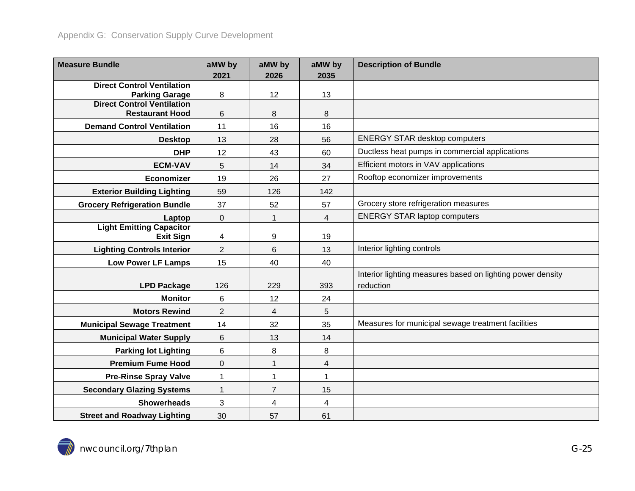| <b>Measure Bundle</b>                                      | aMW by         | aMW by          | aMW by                   | <b>Description of Bundle</b>                               |
|------------------------------------------------------------|----------------|-----------------|--------------------------|------------------------------------------------------------|
|                                                            | 2021           | 2026            | 2035                     |                                                            |
| <b>Direct Control Ventilation</b><br><b>Parking Garage</b> | 8              | 12              | 13                       |                                                            |
| <b>Direct Control Ventilation</b>                          |                |                 |                          |                                                            |
| <b>Restaurant Hood</b>                                     | 6              | 8               | 8                        |                                                            |
| <b>Demand Control Ventilation</b>                          | 11             | 16              | 16                       |                                                            |
| <b>Desktop</b>                                             | 13             | 28              | 56                       | <b>ENERGY STAR desktop computers</b>                       |
| <b>DHP</b>                                                 | 12             | 43              | 60                       | Ductless heat pumps in commercial applications             |
| <b>ECM-VAV</b>                                             | 5              | 14              | 34                       | Efficient motors in VAV applications                       |
| Economizer                                                 | 19             | 26              | 27                       | Rooftop economizer improvements                            |
| <b>Exterior Building Lighting</b>                          | 59             | 126             | 142                      |                                                            |
| <b>Grocery Refrigeration Bundle</b>                        | 37             | 52              | 57                       | Grocery store refrigeration measures                       |
| Laptop                                                     | 0              | $\mathbf 1$     | $\overline{\mathbf{4}}$  | <b>ENERGY STAR laptop computers</b>                        |
| <b>Light Emitting Capacitor</b><br><b>Exit Sign</b>        | 4              | 9               | 19                       |                                                            |
| <b>Lighting Controls Interior</b>                          | $\overline{2}$ | $6\phantom{1}6$ | 13                       | Interior lighting controls                                 |
| <b>Low Power LF Lamps</b>                                  | 15             | 40              | 40                       |                                                            |
|                                                            |                |                 |                          | Interior lighting measures based on lighting power density |
| <b>LPD Package</b>                                         | 126            | 229             | 393                      | reduction                                                  |
| <b>Monitor</b>                                             | 6              | 12              | 24                       |                                                            |
| <b>Motors Rewind</b>                                       | $\overline{2}$ | 4               | 5                        |                                                            |
| <b>Municipal Sewage Treatment</b>                          | 14             | 32              | 35                       | Measures for municipal sewage treatment facilities         |
| <b>Municipal Water Supply</b>                              | 6              | 13              | 14                       |                                                            |
| <b>Parking lot Lighting</b>                                | 6              | 8               | 8                        |                                                            |
| <b>Premium Fume Hood</b>                                   | 0              | 1               | $\overline{\mathcal{A}}$ |                                                            |
| <b>Pre-Rinse Spray Valve</b>                               | 1              | 1               | $\mathbf{1}$             |                                                            |
| <b>Secondary Glazing Systems</b>                           | 1              | $\overline{7}$  | 15                       |                                                            |
| <b>Showerheads</b>                                         | 3              | 4               | 4                        |                                                            |
| <b>Street and Roadway Lighting</b>                         | 30             | 57              | 61                       |                                                            |

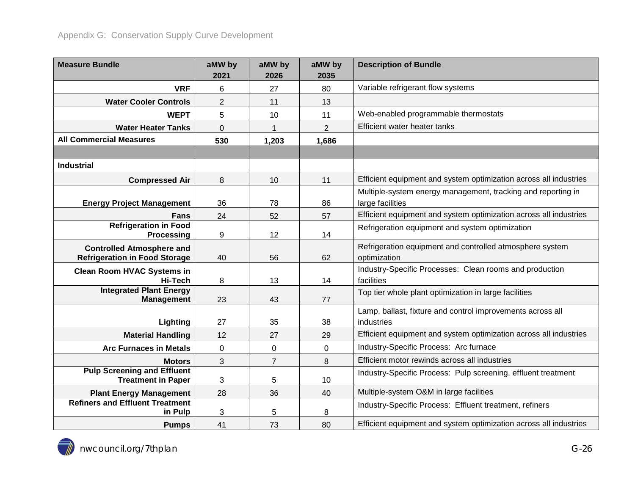| <b>Measure Bundle</b>                                                    | aMW by<br>2021 | aMW by<br>2026 | aMW by<br>2035 | <b>Description of Bundle</b>                                                     |  |
|--------------------------------------------------------------------------|----------------|----------------|----------------|----------------------------------------------------------------------------------|--|
| <b>VRF</b>                                                               | 6              | 27             | 80             | Variable refrigerant flow systems                                                |  |
| <b>Water Cooler Controls</b>                                             | $\overline{2}$ | 11             | 13             |                                                                                  |  |
| <b>WEPT</b>                                                              | 5              | 10             | 11             | Web-enabled programmable thermostats                                             |  |
| <b>Water Heater Tanks</b>                                                | 0              |                | $\overline{2}$ | Efficient water heater tanks                                                     |  |
| <b>All Commercial Measures</b>                                           | 530            | 1,203          | 1,686          |                                                                                  |  |
|                                                                          |                |                |                |                                                                                  |  |
| <b>Industrial</b>                                                        |                |                |                |                                                                                  |  |
| <b>Compressed Air</b>                                                    | 8              | 10             | 11             | Efficient equipment and system optimization across all industries                |  |
| <b>Energy Project Management</b>                                         | 36             | 78             | 86             | Multiple-system energy management, tracking and reporting in<br>large facilities |  |
| <b>Fans</b>                                                              | 24             | 52             | 57             | Efficient equipment and system optimization across all industries                |  |
| <b>Refrigeration in Food</b><br>Processing                               | 9              | 12             | 14             | Refrigeration equipment and system optimization                                  |  |
| <b>Controlled Atmosphere and</b><br><b>Refrigeration in Food Storage</b> | 40             | 56             | 62             | Refrigeration equipment and controlled atmosphere system<br>optimization         |  |
| <b>Clean Room HVAC Systems in</b><br>Hi-Tech                             | 8              | 13             | 14             | Industry-Specific Processes: Clean rooms and production<br>facilities            |  |
| <b>Integrated Plant Energy</b><br><b>Management</b>                      | 23             | 43             | 77             | Top tier whole plant optimization in large facilities                            |  |
|                                                                          |                |                |                | Lamp, ballast, fixture and control improvements across all                       |  |
| Lighting                                                                 | 27             | 35             | 38             | industries                                                                       |  |
| <b>Material Handling</b>                                                 | 12             | 27             | 29             | Efficient equipment and system optimization across all industries                |  |
| <b>Arc Furnaces in Metals</b>                                            | 0              | 0              | 0              | Industry-Specific Process: Arc furnace                                           |  |
| <b>Motors</b>                                                            | 3              | $\overline{7}$ | 8              | Efficient motor rewinds across all industries                                    |  |
| <b>Pulp Screening and Effluent</b><br><b>Treatment in Paper</b>          | 3              | 5              | 10             | Industry-Specific Process: Pulp screening, effluent treatment                    |  |
| <b>Plant Energy Management</b>                                           | 28             | 36             | 40             | Multiple-system O&M in large facilities                                          |  |
| <b>Refiners and Effluent Treatment</b><br>in Pulp                        | 3              | 5              | 8              | Industry-Specific Process: Effluent treatment, refiners                          |  |
| <b>Pumps</b>                                                             | 41             | 73             | 80             | Efficient equipment and system optimization across all industries                |  |

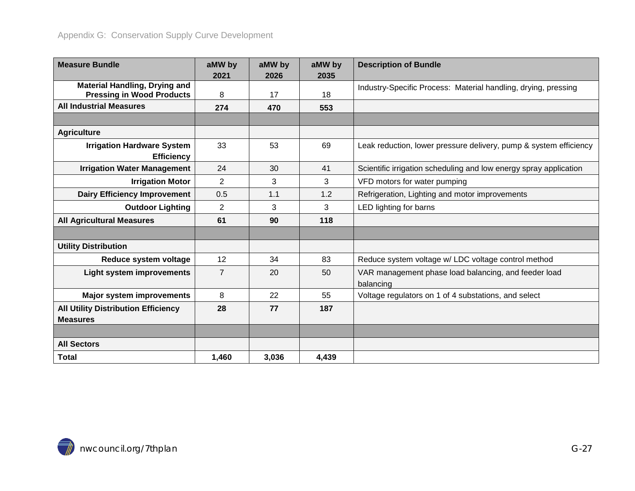| <b>Measure Bundle</b>                                                    | aMW by         | aMW by | aMW by | <b>Description of Bundle</b>                                      |  |
|--------------------------------------------------------------------------|----------------|--------|--------|-------------------------------------------------------------------|--|
|                                                                          | 2021           | 2026   | 2035   |                                                                   |  |
| <b>Material Handling, Drying and</b><br><b>Pressing in Wood Products</b> | 8              | 17     | 18     | Industry-Specific Process: Material handling, drying, pressing    |  |
| <b>All Industrial Measures</b>                                           | 274            | 470    | 553    |                                                                   |  |
|                                                                          |                |        |        |                                                                   |  |
| <b>Agriculture</b>                                                       |                |        |        |                                                                   |  |
| <b>Irrigation Hardware System</b>                                        | 33             | 53     | 69     | Leak reduction, lower pressure delivery, pump & system efficiency |  |
| <b>Efficiency</b>                                                        |                |        |        |                                                                   |  |
| <b>Irrigation Water Management</b>                                       | 24             | 30     | 41     | Scientific irrigation scheduling and low energy spray application |  |
| <b>Irrigation Motor</b>                                                  | $\overline{2}$ | 3      | 3      | VFD motors for water pumping                                      |  |
| <b>Dairy Efficiency Improvement</b>                                      | 0.5            | 1.1    | 1.2    | Refrigeration, Lighting and motor improvements                    |  |
| <b>Outdoor Lighting</b>                                                  | $\overline{2}$ | 3      | 3      | LED lighting for barns                                            |  |
| <b>All Agricultural Measures</b>                                         | 61             | 90     | 118    |                                                                   |  |
|                                                                          |                |        |        |                                                                   |  |
| <b>Utility Distribution</b>                                              |                |        |        |                                                                   |  |
| Reduce system voltage                                                    | 12             | 34     | 83     | Reduce system voltage w/ LDC voltage control method               |  |
| <b>Light system improvements</b>                                         | $\overline{7}$ | 20     | 50     | VAR management phase load balancing, and feeder load<br>balancing |  |
| <b>Major system improvements</b>                                         | 8              | 22     | 55     | Voltage regulators on 1 of 4 substations, and select              |  |
| <b>All Utility Distribution Efficiency</b>                               | 28             | 77     | 187    |                                                                   |  |
| <b>Measures</b>                                                          |                |        |        |                                                                   |  |
|                                                                          |                |        |        |                                                                   |  |
| <b>All Sectors</b>                                                       |                |        |        |                                                                   |  |
| <b>Total</b>                                                             | 1,460          | 3,036  | 4,439  |                                                                   |  |

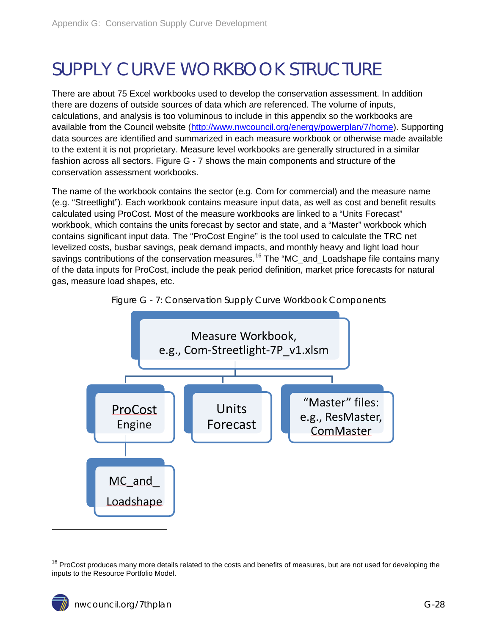# <span id="page-27-0"></span>SUPPLY CURVE WORKBOOK STRUCTURE

There are about 75 Excel workbooks used to develop the conservation assessment. In addition there are dozens of outside sources of data which are referenced. The volume of inputs, calculations, and analysis is too voluminous to include in this appendix so the workbooks are available from the Council website [\(http://www.nwcouncil.org/energy/powerplan/7/home\)](http://www.nwcouncil.org/energy/powerplan/7/home). Supporting data sources are identified and summarized in each measure workbook or otherwise made available to the extent it is not proprietary. Measure level workbooks are generally structured in a similar fashion across all sectors. [Figure G -](#page-27-1) 7 shows the main components and structure of the conservation assessment workbooks.

The name of the workbook contains the sector (e.g. Com for commercial) and the measure name (e.g. "Streetlight"). Each workbook contains measure input data, as well as cost and benefit results calculated using ProCost. Most of the measure workbooks are linked to a "Units Forecast" workbook, which contains the units forecast by sector and state, and a "Master" workbook which contains significant input data. The "ProCost Engine" is the tool used to calculate the TRC net levelized costs, busbar savings, peak demand impacts, and monthly heavy and light load hour savings contributions of the conservation measures.<sup>[16](#page-22-1)</sup> The "MC\_and\_Loadshape file contains many of the data inputs for ProCost, include the peak period definition, market price forecasts for natural gas, measure load shapes, etc.

<span id="page-27-1"></span>



 $\ddot{ }$ 

<span id="page-27-2"></span><sup>&</sup>lt;sup>16</sup> ProCost produces many more details related to the costs and benefits of measures, but are not used for developing the inputs to the Resource Portfolio Model.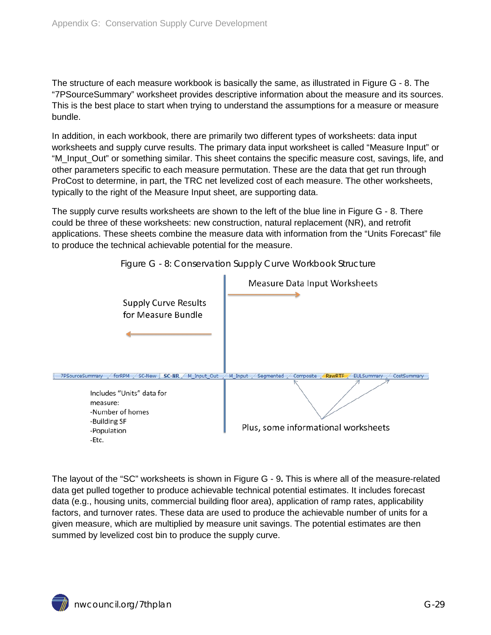The structure of each measure workbook is basically the same, as illustrated in [Figure G -](#page-28-0) 8. The "7PSourceSummary" worksheet provides descriptive information about the measure and its sources. This is the best place to start when trying to understand the assumptions for a measure or measure bundle.

In addition, in each workbook, there are primarily two different types of worksheets: data input worksheets and supply curve results. The primary data input worksheet is called "Measure Input" or "M\_Input\_Out" or something similar. This sheet contains the specific measure cost, savings, life, and other parameters specific to each measure permutation. These are the data that get run through ProCost to determine, in part, the TRC net levelized cost of each measure. The other worksheets, typically to the right of the Measure Input sheet, are supporting data.

The supply curve results worksheets are shown to the left of the blue line in [Figure G -](#page-28-0) 8. There could be three of these worksheets: new construction, natural replacement (NR), and retrofit applications. These sheets combine the measure data with information from the "Units Forecast" file to produce the technical achievable potential for the measure.

<span id="page-28-0"></span>

Figure G - 8: Conservation Supply Curve Workbook Structure

The layout of the "SC" worksheets is shown in [Figure G -](#page-29-2) 9**.** This is where all of the measure-related data get pulled together to produce achievable technical potential estimates. It includes forecast data (e.g., housing units, commercial building floor area), application of ramp rates, applicability factors, and turnover rates. These data are used to produce the achievable number of units for a given measure, which are multiplied by measure unit savings. The potential estimates are then summed by levelized cost bin to produce the supply curve.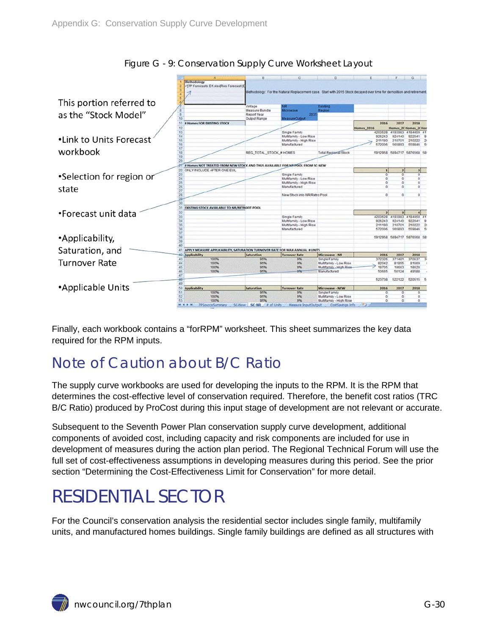<span id="page-29-2"></span>

Figure G - 9: Conservation Supply Curve Worksheet Layout

Finally, each workbook contains a "forRPM" worksheet. This sheet summarizes the key data required for the RPM inputs.

## <span id="page-29-0"></span>Note of Caution about B/C Ratio

The supply curve workbooks are used for developing the inputs to the RPM. It is the RPM that determines the cost-effective level of conservation required. Therefore, the benefit cost ratios (TRC B/C Ratio) produced by ProCost during this input stage of development are not relevant or accurate.

Subsequent to the Seventh Power Plan conservation supply curve development, additional components of avoided cost, including capacity and risk components are included for use in development of measures during the action plan period. The Regional Technical Forum will use the full set of cost-effectiveness assumptions in developing measures during this period. See the prior section "Determining the Cost-Effectiveness Limit for Conservation" for more detail.

# <span id="page-29-1"></span>RESIDENTIAL SECTOR

For the Council's conservation analysis the residential sector includes single family, multifamily units, and manufactured homes buildings. Single family buildings are defined as all structures with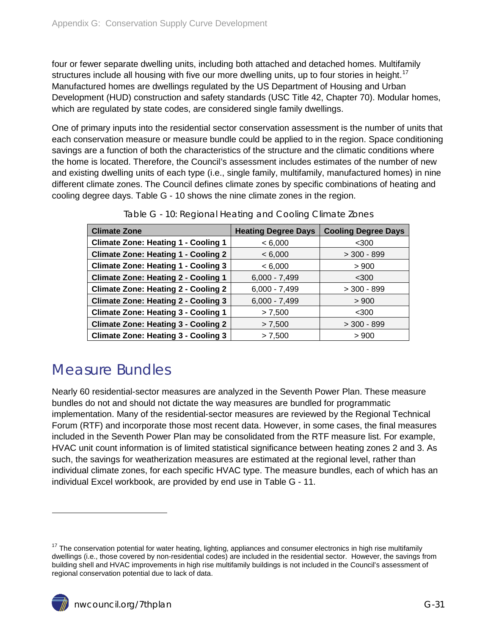four or fewer separate dwelling units, including both attached and detached homes. Multifamily structures include all housing with five our more dwelling units, up to four stories in height.<sup>[17](#page-27-2)</sup> Manufactured homes are dwellings regulated by the US Department of Housing and Urban Development (HUD) construction and safety standards (USC Title 42, Chapter 70). Modular homes, which are regulated by state codes, are considered single family dwellings.

One of primary inputs into the residential sector conservation assessment is the number of units that each conservation measure or measure bundle could be applied to in the region. Space conditioning savings are a function of both the characteristics of the structure and the climatic conditions where the home is located. Therefore, the Council's assessment includes estimates of the number of new and existing dwelling units of each type (i.e., single family, multifamily, manufactured homes) in nine different climate zones. The Council defines climate zones by specific combinations of heating and cooling degree days. [Table G -](#page-30-1) 10 shows the nine climate zones in the region.

<span id="page-30-1"></span>

| <b>Climate Zone</b>                        | <b>Heating Degree Days</b> | <b>Cooling Degree Days</b> |
|--------------------------------------------|----------------------------|----------------------------|
| <b>Climate Zone: Heating 1 - Cooling 1</b> | < 6,000                    | $300$                      |
| <b>Climate Zone: Heating 1 - Cooling 2</b> | < 6,000                    | $>$ 300 - 899              |
| <b>Climate Zone: Heating 1 - Cooling 3</b> | < 6,000                    | > 900                      |
| <b>Climate Zone: Heating 2 - Cooling 1</b> | $6,000 - 7,499$            | $<$ 300                    |
| <b>Climate Zone: Heating 2 - Cooling 2</b> | $6,000 - 7,499$            | $>$ 300 - 899              |
| <b>Climate Zone: Heating 2 - Cooling 3</b> | $6,000 - 7,499$            | > 900                      |
| <b>Climate Zone: Heating 3 - Cooling 1</b> | > 7,500                    | $<$ 300                    |
| <b>Climate Zone: Heating 3 - Cooling 2</b> | > 7,500                    | $> 300 - 899$              |
| <b>Climate Zone: Heating 3 - Cooling 3</b> | > 7,500                    | > 900                      |

Table G - 10: Regional Heating and Cooling Climate Zones

### <span id="page-30-0"></span>Measure Bundles

Nearly 60 residential-sector measures are analyzed in the Seventh Power Plan. These measure bundles do not and should not dictate the way measures are bundled for programmatic implementation. Many of the residential-sector measures are reviewed by the Regional Technical Forum (RTF) and incorporate those most recent data. However, in some cases, the final measures included in the Seventh Power Plan may be consolidated from the RTF measure list. For example, HVAC unit count information is of limited statistical significance between heating zones 2 and 3. As such, the savings for weatherization measures are estimated at the regional level, rather than individual climate zones, for each specific HVAC type. The measure bundles, each of which has an individual Excel workbook, are provided by end use in [Table G -](#page-31-1) 11.

 $\overline{a}$ 

<span id="page-30-2"></span> $17$  The conservation potential for water heating, lighting, appliances and consumer electronics in high rise multifamily dwellings (i.e., those covered by non-residential codes) are included in the residential sector. However, the savings from building shell and HVAC improvements in high rise multifamily buildings is not included in the Council's assessment of regional conservation potential due to lack of data.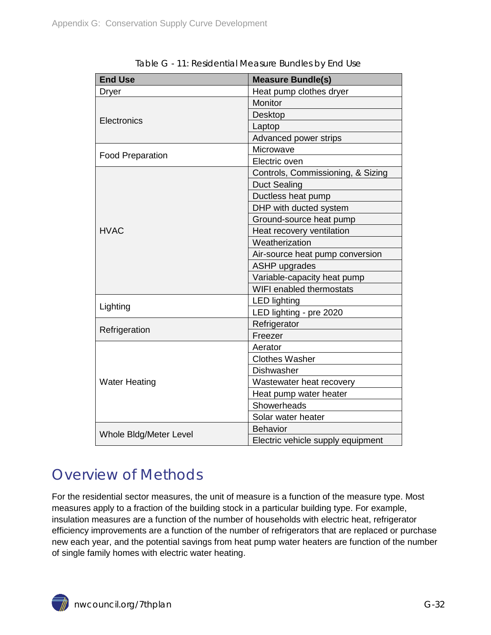<span id="page-31-1"></span>

| <b>End Use</b>                                                      | <b>Measure Bundle(s)</b>          |  |  |
|---------------------------------------------------------------------|-----------------------------------|--|--|
| <b>Dryer</b>                                                        | Heat pump clothes dryer           |  |  |
|                                                                     | <b>Monitor</b>                    |  |  |
|                                                                     | Desktop                           |  |  |
| Electronics<br><b>Food Preparation</b><br>Lighting<br>Refrigeration | Laptop                            |  |  |
|                                                                     | Advanced power strips             |  |  |
|                                                                     | Microwave                         |  |  |
|                                                                     | Electric oven                     |  |  |
|                                                                     | Controls, Commissioning, & Sizing |  |  |
|                                                                     | <b>Duct Sealing</b>               |  |  |
|                                                                     | Ductless heat pump                |  |  |
|                                                                     | DHP with ducted system            |  |  |
|                                                                     | Ground-source heat pump           |  |  |
| <b>HVAC</b>                                                         | Heat recovery ventilation         |  |  |
|                                                                     | Weatherization                    |  |  |
|                                                                     | Air-source heat pump conversion   |  |  |
|                                                                     | <b>ASHP</b> upgrades              |  |  |
|                                                                     | Variable-capacity heat pump       |  |  |
|                                                                     | WIFI enabled thermostats          |  |  |
|                                                                     | <b>LED lighting</b>               |  |  |
|                                                                     | LED lighting - pre 2020           |  |  |
|                                                                     | Refrigerator                      |  |  |
|                                                                     | Freezer                           |  |  |
|                                                                     | Aerator                           |  |  |
|                                                                     | <b>Clothes Washer</b>             |  |  |
|                                                                     | <b>Dishwasher</b>                 |  |  |
| <b>Water Heating</b>                                                | Wastewater heat recovery          |  |  |
|                                                                     | Heat pump water heater            |  |  |
|                                                                     | Showerheads                       |  |  |
|                                                                     | Solar water heater                |  |  |
| Whole Bldg/Meter Level                                              | <b>Behavior</b>                   |  |  |
|                                                                     | Electric vehicle supply equipment |  |  |

Table G - 11: Residential Measure Bundles by End Use

### <span id="page-31-0"></span>Overview of Methods

For the residential sector measures, the unit of measure is a function of the measure type. Most measures apply to a fraction of the building stock in a particular building type. For example, insulation measures are a function of the number of households with electric heat, refrigerator efficiency improvements are a function of the number of refrigerators that are replaced or purchase new each year, and the potential savings from heat pump water heaters are function of the number of single family homes with electric water heating.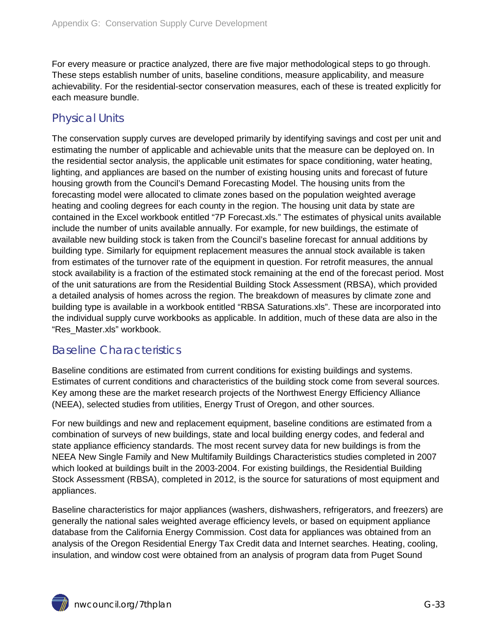For every measure or practice analyzed, there are five major methodological steps to go through. These steps establish number of units, baseline conditions, measure applicability, and measure achievability. For the residential-sector conservation measures, each of these is treated explicitly for each measure bundle.

#### <span id="page-32-0"></span>Physical Units

The conservation supply curves are developed primarily by identifying savings and cost per unit and estimating the number of applicable and achievable units that the measure can be deployed on. In the residential sector analysis, the applicable unit estimates for space conditioning, water heating, lighting, and appliances are based on the number of existing housing units and forecast of future housing growth from the Council's Demand Forecasting Model. The housing units from the forecasting model were allocated to climate zones based on the population weighted average heating and cooling degrees for each county in the region. The housing unit data by state are contained in the Excel workbook entitled "7P Forecast.xls." The estimates of physical units available include the number of units available annually. For example, for new buildings, the estimate of available new building stock is taken from the Council's baseline forecast for annual additions by building type. Similarly for equipment replacement measures the annual stock available is taken from estimates of the turnover rate of the equipment in question. For retrofit measures, the annual stock availability is a fraction of the estimated stock remaining at the end of the forecast period. Most of the unit saturations are from the Residential Building Stock Assessment (RBSA), which provided a detailed analysis of homes across the region. The breakdown of measures by climate zone and building type is available in a workbook entitled "RBSA Saturations.xls". These are incorporated into the individual supply curve workbooks as applicable. In addition, much of these data are also in the "Res\_Master.xls" workbook.

### <span id="page-32-1"></span>Baseline Characteristics

Baseline conditions are estimated from current conditions for existing buildings and systems. Estimates of current conditions and characteristics of the building stock come from several sources. Key among these are the market research projects of the Northwest Energy Efficiency Alliance (NEEA), selected studies from utilities, Energy Trust of Oregon, and other sources.

For new buildings and new and replacement equipment, baseline conditions are estimated from a combination of surveys of new buildings, state and local building energy codes, and federal and state appliance efficiency standards. The most recent survey data for new buildings is from the NEEA New Single Family and New Multifamily Buildings Characteristics studies completed in 2007 which looked at buildings built in the 2003-2004. For existing buildings, the Residential Building Stock Assessment (RBSA), completed in 2012, is the source for saturations of most equipment and appliances.

Baseline characteristics for major appliances (washers, dishwashers, refrigerators, and freezers) are generally the national sales weighted average efficiency levels, or based on equipment appliance database from the California Energy Commission. Cost data for appliances was obtained from an analysis of the Oregon Residential Energy Tax Credit data and Internet searches. Heating, cooling, insulation, and window cost were obtained from an analysis of program data from Puget Sound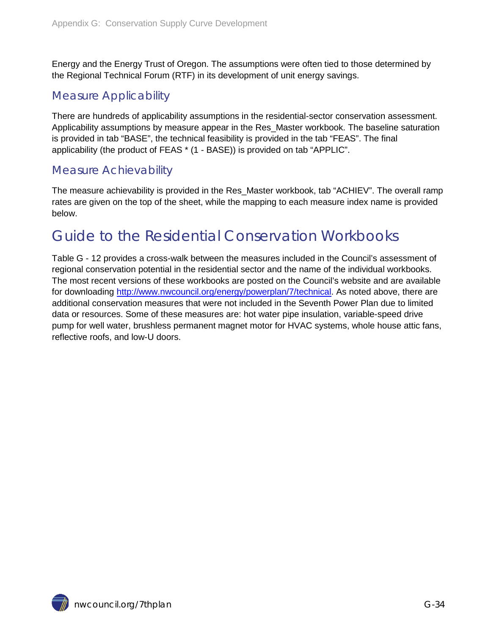Energy and the Energy Trust of Oregon. The assumptions were often tied to those determined by the Regional Technical Forum (RTF) in its development of unit energy savings.

#### <span id="page-33-0"></span>Measure Applicability

There are hundreds of applicability assumptions in the residential-sector conservation assessment. Applicability assumptions by measure appear in the Res\_Master workbook. The baseline saturation is provided in tab "BASE", the technical feasibility is provided in the tab "FEAS". The final applicability (the product of FEAS \* (1 - BASE)) is provided on tab "APPLIC".

#### <span id="page-33-1"></span>Measure Achievability

The measure achievability is provided in the Res\_Master workbook, tab "ACHIEV". The overall ramp rates are given on the top of the sheet, while the mapping to each measure index name is provided below.

## <span id="page-33-2"></span>Guide to the Residential Conservation Workbooks

[Table G -](#page-34-0) 12 provides a cross-walk between the measures included in the Council's assessment of regional conservation potential in the residential sector and the name of the individual workbooks. The most recent versions of these workbooks are posted on the Council's website and are available for downloading [http://www.nwcouncil.org/energy/powerplan/7/technical.](http://www.nwcouncil.org/energy/powerplan/7/technical) As noted above, there are additional conservation measures that were not included in the Seventh Power Plan due to limited data or resources. Some of these measures are: hot water pipe insulation, variable-speed drive pump for well water, brushless permanent magnet motor for HVAC systems, whole house attic fans, reflective roofs, and low-U doors.

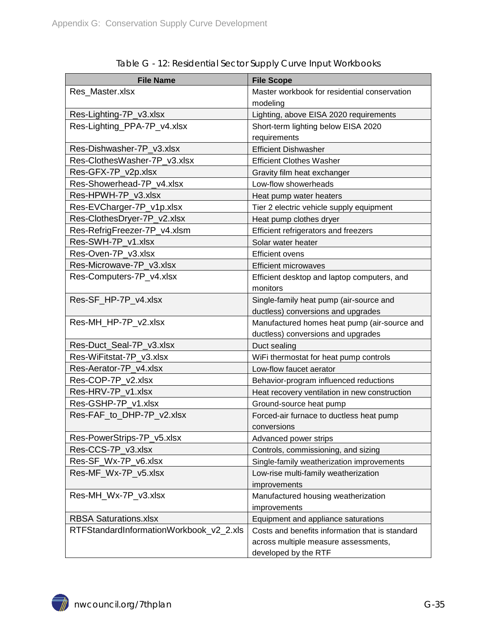<span id="page-34-0"></span>

| <b>File Name</b>                        | <b>File Scope</b>                               |
|-----------------------------------------|-------------------------------------------------|
| Res_Master.xlsx                         | Master workbook for residential conservation    |
|                                         | modeling                                        |
| Res-Lighting-7P_v3.xlsx                 | Lighting, above EISA 2020 requirements          |
| Res-Lighting_PPA-7P_v4.xlsx             | Short-term lighting below EISA 2020             |
|                                         | requirements                                    |
| Res-Dishwasher-7P v3.xlsx               | <b>Efficient Dishwasher</b>                     |
| Res-ClothesWasher-7P_v3.xlsx            | <b>Efficient Clothes Washer</b>                 |
| Res-GFX-7P_v2p.xlsx                     | Gravity film heat exchanger                     |
| Res-Showerhead-7P v4.xlsx               | Low-flow showerheads                            |
| Res-HPWH-7P_v3.xlsx                     | Heat pump water heaters                         |
| Res-EVCharger-7P_v1p.xlsx               | Tier 2 electric vehicle supply equipment        |
| Res-ClothesDryer-7P_v2.xlsx             | Heat pump clothes dryer                         |
| Res-RefrigFreezer-7P_v4.xlsm            | Efficient refrigerators and freezers            |
| Res-SWH-7P_v1.xlsx                      | Solar water heater                              |
| Res-Oven-7P v3.xlsx                     | <b>Efficient ovens</b>                          |
| Res-Microwave-7P_v3.xlsx                | <b>Efficient microwaves</b>                     |
| Res-Computers-7P_v4.xlsx                | Efficient desktop and laptop computers, and     |
|                                         | monitors                                        |
| Res-SF_HP-7P_v4.xlsx                    | Single-family heat pump (air-source and         |
|                                         | ductless) conversions and upgrades              |
| Res-MH_HP-7P_v2.xlsx                    | Manufactured homes heat pump (air-source and    |
|                                         | ductless) conversions and upgrades              |
| Res-Duct_Seal-7P_v3.xlsx                | Duct sealing                                    |
| Res-WiFitstat-7P_v3.xlsx                | WiFi thermostat for heat pump controls          |
| Res-Aerator-7P_v4.xlsx                  | Low-flow faucet aerator                         |
| Res-COP-7P_v2.xlsx                      | Behavior-program influenced reductions          |
| Res-HRV-7P_v1.xlsx                      | Heat recovery ventilation in new construction   |
| Res-GSHP-7P_v1.xlsx                     | Ground-source heat pump                         |
| Res-FAF_to_DHP-7P_v2.xlsx               | Forced-air furnace to ductless heat pump        |
|                                         | conversions                                     |
| Res-PowerStrips-7P_v5.xlsx              | Advanced power strips                           |
| Res-CCS-7P_v3.xlsx                      | Controls, commissioning, and sizing             |
| Res-SF_Wx-7P_v6.xlsx                    | Single-family weatherization improvements       |
| Res-MF_Wx-7P_v5.xlsx                    | Low-rise multi-family weatherization            |
|                                         | improvements                                    |
| Res-MH_Wx-7P_v3.xlsx                    | Manufactured housing weatherization             |
|                                         | improvements                                    |
| <b>RBSA Saturations.xlsx</b>            | Equipment and appliance saturations             |
| RTFStandardInformationWorkbook_v2_2.xls | Costs and benefits information that is standard |
|                                         | across multiple measure assessments,            |
|                                         | developed by the RTF                            |

Table G - 12: Residential Sector Supply Curve Input Workbooks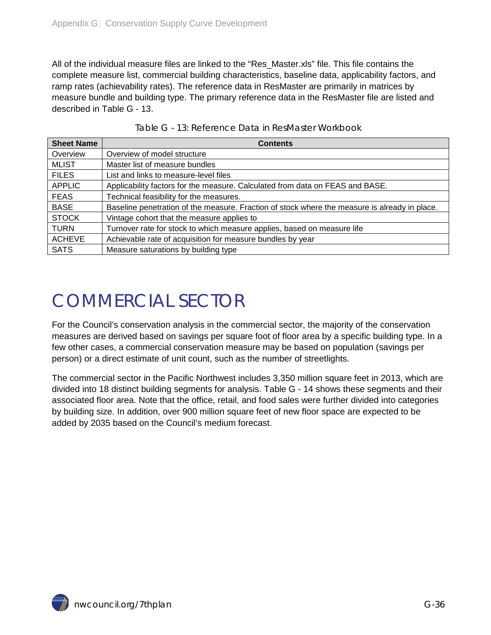All of the individual measure files are linked to the "Res\_Master.xls" file. This file contains the complete measure list, commercial building characteristics, baseline data, applicability factors, and ramp rates (achievability rates). The reference data in ResMaster are primarily in matrices by measure bundle and building type. The primary reference data in the ResMaster file are listed and described in [Table G -](#page-35-1) 13.

<span id="page-35-1"></span>

| <b>Sheet Name</b> | <b>Contents</b>                                                                               |
|-------------------|-----------------------------------------------------------------------------------------------|
| Overview          | Overview of model structure                                                                   |
| <b>MLIST</b>      | Master list of measure bundles                                                                |
| <b>FILES</b>      | List and links to measure-level files                                                         |
| <b>APPLIC</b>     | Applicability factors for the measure. Calculated from data on FEAS and BASE.                 |
| <b>FEAS</b>       | Technical feasibility for the measures.                                                       |
| <b>BASE</b>       | Baseline penetration of the measure. Fraction of stock where the measure is already in place. |
| <b>STOCK</b>      | Vintage cohort that the measure applies to                                                    |
| <b>TURN</b>       | Turnover rate for stock to which measure applies, based on measure life                       |
| <b>ACHEVE</b>     | Achievable rate of acquisition for measure bundles by year                                    |
| <b>SATS</b>       | Measure saturations by building type                                                          |

## <span id="page-35-0"></span>COMMERCIAL SECTOR

For the Council's conservation analysis in the commercial sector, the majority of the conservation measures are derived based on savings per square foot of floor area by a specific building type. In a few other cases, a commercial conservation measure may be based on population (savings per person) or a direct estimate of unit count, such as the number of streetlights.

The commercial sector in the Pacific Northwest includes 3,350 million square feet in 2013, which are divided into 18 distinct building segments for analysis. [Table G -](#page-36-1) 14 shows these segments and their associated floor area. Note that the office, retail, and food sales were further divided into categories by building size. In addition, over 900 million square feet of new floor space are expected to be added by 2035 based on the Council's medium forecast.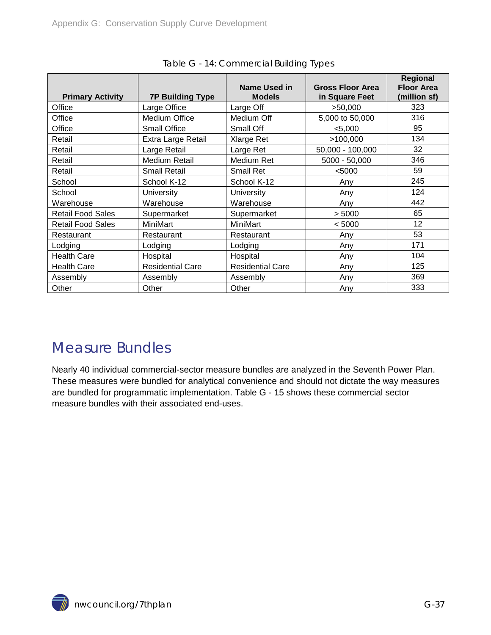<span id="page-36-1"></span>

| <b>Primary Activity</b>  | <b>7P Building Type</b> | Name Used in<br><b>Models</b> | <b>Gross Floor Area</b><br>in Square Feet | Regional<br><b>Floor Area</b><br>(million sf) |
|--------------------------|-------------------------|-------------------------------|-------------------------------------------|-----------------------------------------------|
| Office                   | Large Office            | Large Off                     | >50,000                                   | 323                                           |
| Office                   | Medium Office           | Medium Off                    | 5,000 to 50,000                           | 316                                           |
| Office                   | <b>Small Office</b>     | Small Off                     | < 5,000                                   | 95                                            |
| Retail                   | Extra Large Retail      | Xlarge Ret                    | >100,000                                  | 134                                           |
| Retail                   | Large Retail            | Large Ret                     | 50,000 - 100,000                          | 32                                            |
| Retail                   | <b>Medium Retail</b>    | Medium Ret                    | $5000 - 50,000$                           | 346                                           |
| Retail                   | <b>Small Retail</b>     | <b>Small Ret</b>              | < 5000                                    | 59                                            |
| School                   | School K-12             | School K-12                   | Any                                       | 245                                           |
| School                   | University              | University                    | Any                                       | 124                                           |
| Warehouse                | Warehouse               | Warehouse                     | Any                                       | 442                                           |
| <b>Retail Food Sales</b> | Supermarket             | Supermarket                   | > 5000                                    | 65                                            |
| <b>Retail Food Sales</b> | MiniMart                | MiniMart                      | < 5000                                    | 12                                            |
| Restaurant               | Restaurant              | Restaurant                    | Any                                       | 53                                            |
| Lodging                  | Lodging                 | Lodging                       | Any                                       | 171                                           |
| <b>Health Care</b>       | Hospital                | Hospital                      | Any                                       | 104                                           |
| <b>Health Care</b>       | <b>Residential Care</b> | <b>Residential Care</b>       | Any                                       | 125                                           |
| Assembly                 | Assembly                | Assembly                      | Any                                       | 369                                           |
| Other                    | Other                   | Other                         | Any                                       | 333                                           |

Table G - 14: Commercial Building Types

### <span id="page-36-0"></span>Measure Bundles

Nearly 40 individual commercial-sector measure bundles are analyzed in the Seventh Power Plan. These measures were bundled for analytical convenience and should not dictate the way measures are bundled for programmatic implementation. [Table G -](#page-37-0) 15 shows these commercial sector measure bundles with their associated end-uses.

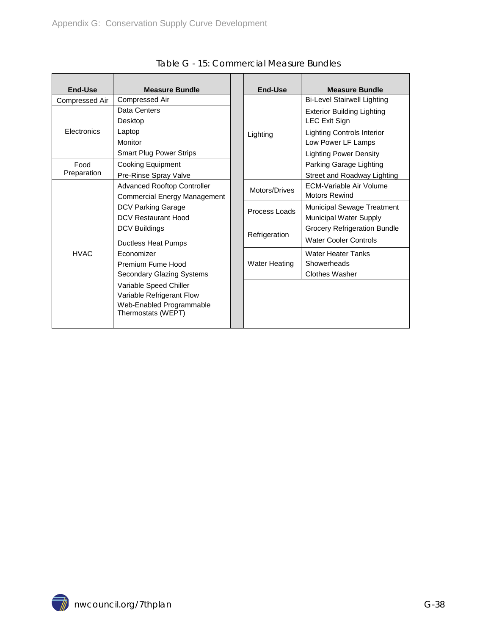<span id="page-37-0"></span>

| End-Use            | <b>Measure Bundle</b>                       |  | <b>End-Use</b>       | <b>Measure Bundle</b>               |
|--------------------|---------------------------------------------|--|----------------------|-------------------------------------|
| Compressed Air     | <b>Compressed Air</b>                       |  |                      | <b>Bi-Level Stairwell Lighting</b>  |
|                    | Data Centers                                |  |                      | <b>Exterior Building Lighting</b>   |
|                    | Desktop                                     |  |                      | <b>LEC Exit Sign</b>                |
| <b>Electronics</b> | Laptop<br>Monitor                           |  | Lighting             | Lighting Controls Interior          |
|                    |                                             |  |                      | Low Power LF Lamps                  |
|                    | <b>Smart Plug Power Strips</b>              |  |                      | <b>Lighting Power Density</b>       |
| Food               | Cooking Equipment                           |  |                      | Parking Garage Lighting             |
| Preparation        | Pre-Rinse Spray Valve                       |  |                      | Street and Roadway Lighting         |
|                    | <b>Advanced Rooftop Controller</b>          |  | Motors/Drives        | <b>ECM-Variable Air Volume</b>      |
|                    | <b>Commercial Energy Management</b>         |  |                      | <b>Motors Rewind</b>                |
|                    | DCV Parking Garage                          |  | Process Loads        | <b>Municipal Sewage Treatment</b>   |
|                    | DCV Restaurant Hood<br><b>DCV Buildings</b> |  |                      | Municipal Water Supply              |
|                    |                                             |  |                      | <b>Grocery Refrigeration Bundle</b> |
|                    | Ductless Heat Pumps                         |  | Refrigeration        | <b>Water Cooler Controls</b>        |
| <b>HVAC</b>        | Economizer<br>Premium Fume Hood             |  |                      | Water Heater Tanks                  |
|                    |                                             |  | <b>Water Heating</b> | Showerheads                         |
|                    | <b>Secondary Glazing Systems</b>            |  |                      | Clothes Washer                      |
|                    | Variable Speed Chiller                      |  |                      |                                     |
|                    | Variable Refrigerant Flow                   |  |                      |                                     |
|                    | Web-Enabled Programmable                    |  |                      |                                     |
|                    | Thermostats (WEPT)                          |  |                      |                                     |
|                    |                                             |  |                      |                                     |

Table G - 15: Commercial Measure Bundles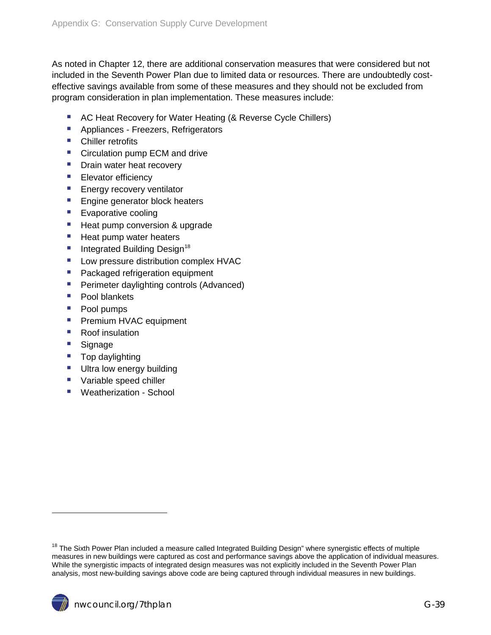As noted in Chapter 12, there are additional conservation measures that were considered but not included in the Seventh Power Plan due to limited data or resources. There are undoubtedly costeffective savings available from some of these measures and they should not be excluded from program consideration in plan implementation. These measures include:

- AC Heat Recovery for Water Heating (& Reverse Cycle Chillers)
- **Appliances Freezers, Refrigerators**
- Chiller retrofits
- Circulation pump ECM and drive
- **Drain water heat recovery**
- **Elevator efficiency**
- **Energy recovery ventilator**
- **Engine generator block heaters**
- **Exaporative cooling**
- **Heat pump conversion & upgrade**
- **Heat pump water heaters**
- Integrated Building Design<sup>[18](#page-30-2)</sup>
- **Low pressure distribution complex HVAC**
- **Packaged refrigeration equipment**
- **Perimeter daylighting controls (Advanced)**
- Pool blankets
- **Pool pumps**
- **Premium HVAC equipment**
- Roof insulation
- **Signage**

 $\overline{a}$ 

- Top daylighting
- **Ultra low energy building**
- **Variable speed chiller**
- <span id="page-38-0"></span>**Weatherization - School**

<span id="page-38-1"></span><sup>&</sup>lt;sup>18</sup> The Sixth Power Plan included a measure called Integrated Building Design" where synergistic effects of multiple measures in new buildings were captured as cost and performance savings above the application of individual measures. While the synergistic impacts of integrated design measures was not explicitly included in the Seventh Power Plan analysis, most new-building savings above code are being captured through individual measures in new buildings.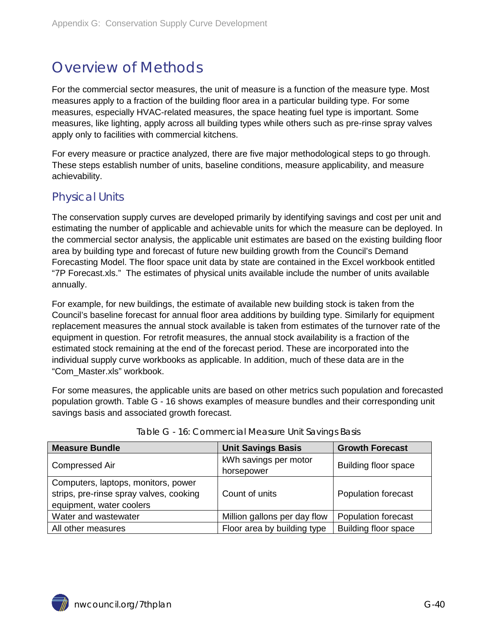## Overview of Methods

For the commercial sector measures, the unit of measure is a function of the measure type. Most measures apply to a fraction of the building floor area in a particular building type. For some measures, especially HVAC-related measures, the space heating fuel type is important. Some measures, like lighting, apply across all building types while others such as pre-rinse spray valves apply only to facilities with commercial kitchens.

For every measure or practice analyzed, there are five major methodological steps to go through. These steps establish number of units, baseline conditions, measure applicability, and measure achievability.

#### <span id="page-39-0"></span>Physical Units

The conservation supply curves are developed primarily by identifying savings and cost per unit and estimating the number of applicable and achievable units for which the measure can be deployed. In the commercial sector analysis, the applicable unit estimates are based on the existing building floor area by building type and forecast of future new building growth from the Council's Demand Forecasting Model. The floor space unit data by state are contained in the Excel workbook entitled "7P Forecast.xls." The estimates of physical units available include the number of units available annually.

For example, for new buildings, the estimate of available new building stock is taken from the Council's baseline forecast for annual floor area additions by building type. Similarly for equipment replacement measures the annual stock available is taken from estimates of the turnover rate of the equipment in question. For retrofit measures, the annual stock availability is a fraction of the estimated stock remaining at the end of the forecast period. These are incorporated into the individual supply curve workbooks as applicable. In addition, much of these data are in the "Com\_Master.xls" workbook.

For some measures, the applicable units are based on other metrics such population and forecasted population growth. [Table G -](#page-39-1) 16 shows examples of measure bundles and their corresponding unit savings basis and associated growth forecast.

<span id="page-39-1"></span>

| <b>Measure Bundle</b>                   | <b>Unit Savings Basis</b>    | <b>Growth Forecast</b>      |  |
|-----------------------------------------|------------------------------|-----------------------------|--|
| <b>Compressed Air</b>                   | kWh savings per motor        | Building floor space        |  |
|                                         | horsepower                   |                             |  |
| Computers, laptops, monitors, power     |                              |                             |  |
| strips, pre-rinse spray valves, cooking | Count of units               | Population forecast         |  |
| equipment, water coolers                |                              |                             |  |
| Water and wastewater                    | Million gallons per day flow | <b>Population forecast</b>  |  |
| All other measures                      | Floor area by building type  | <b>Building floor space</b> |  |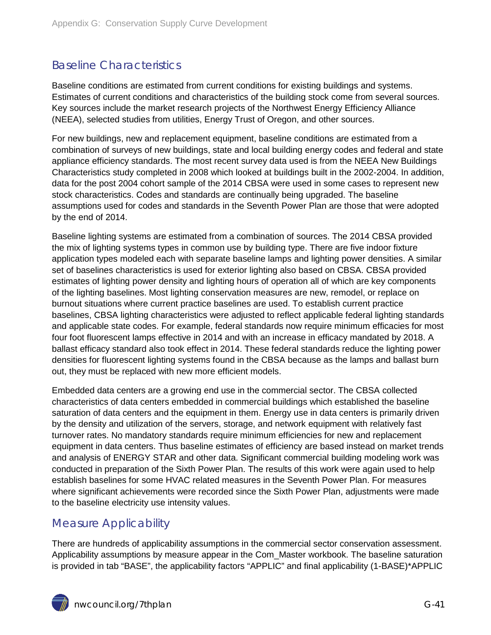### <span id="page-40-0"></span>Baseline Characteristics

Baseline conditions are estimated from current conditions for existing buildings and systems. Estimates of current conditions and characteristics of the building stock come from several sources. Key sources include the market research projects of the Northwest Energy Efficiency Alliance (NEEA), selected studies from utilities, Energy Trust of Oregon, and other sources.

For new buildings, new and replacement equipment, baseline conditions are estimated from a combination of surveys of new buildings, state and local building energy codes and federal and state appliance efficiency standards. The most recent survey data used is from the NEEA New Buildings Characteristics study completed in 2008 which looked at buildings built in the 2002-2004. In addition, data for the post 2004 cohort sample of the 2014 CBSA were used in some cases to represent new stock characteristics. Codes and standards are continually being upgraded. The baseline assumptions used for codes and standards in the Seventh Power Plan are those that were adopted by the end of 2014.

Baseline lighting systems are estimated from a combination of sources. The 2014 CBSA provided the mix of lighting systems types in common use by building type. There are five indoor fixture application types modeled each with separate baseline lamps and lighting power densities. A similar set of baselines characteristics is used for exterior lighting also based on CBSA. CBSA provided estimates of lighting power density and lighting hours of operation all of which are key components of the lighting baselines. Most lighting conservation measures are new, remodel, or replace on burnout situations where current practice baselines are used. To establish current practice baselines, CBSA lighting characteristics were adjusted to reflect applicable federal lighting standards and applicable state codes. For example, federal standards now require minimum efficacies for most four foot fluorescent lamps effective in 2014 and with an increase in efficacy mandated by 2018. A ballast efficacy standard also took effect in 2014. These federal standards reduce the lighting power densities for fluorescent lighting systems found in the CBSA because as the lamps and ballast burn out, they must be replaced with new more efficient models.

Embedded data centers are a growing end use in the commercial sector. The CBSA collected characteristics of data centers embedded in commercial buildings which established the baseline saturation of data centers and the equipment in them. Energy use in data centers is primarily driven by the density and utilization of the servers, storage, and network equipment with relatively fast turnover rates. No mandatory standards require minimum efficiencies for new and replacement equipment in data centers. Thus baseline estimates of efficiency are based instead on market trends and analysis of ENERGY STAR and other data. Significant commercial building modeling work was conducted in preparation of the Sixth Power Plan. The results of this work were again used to help establish baselines for some HVAC related measures in the Seventh Power Plan. For measures where significant achievements were recorded since the Sixth Power Plan, adjustments were made to the baseline electricity use intensity values.

### <span id="page-40-1"></span>Measure Applicability

There are hundreds of applicability assumptions in the commercial sector conservation assessment. Applicability assumptions by measure appear in the Com\_Master workbook. The baseline saturation is provided in tab "BASE", the applicability factors "APPLIC" and final applicability (1-BASE)\*APPLIC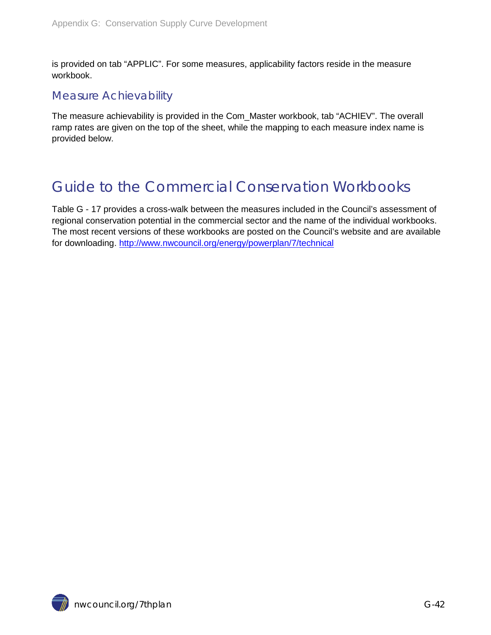is provided on tab "APPLIC". For some measures, applicability factors reside in the measure workbook.

#### <span id="page-41-0"></span>Measure Achievability

The measure achievability is provided in the Com\_Master workbook, tab "ACHIEV". The overall ramp rates are given on the top of the sheet, while the mapping to each measure index name is provided below.

## <span id="page-41-1"></span>Guide to the Commercial Conservation Workbooks

[Table G -](#page-42-0) 17 provides a cross-walk between the measures included in the Council's assessment of regional conservation potential in the commercial sector and the name of the individual workbooks. The most recent versions of these workbooks are posted on the Council's website and are available for downloading. <http://www.nwcouncil.org/energy/powerplan/7/technical>

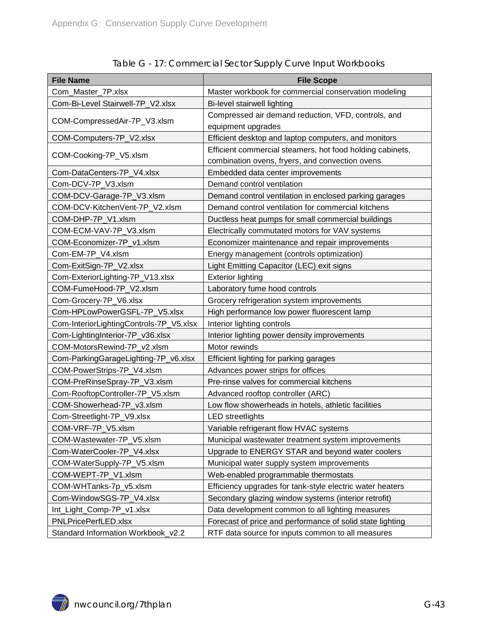<span id="page-42-0"></span>

| <b>File Name</b>                        | <b>File Scope</b>                                         |  |
|-----------------------------------------|-----------------------------------------------------------|--|
| Com_Master_7P.xlsx                      | Master workbook for commercial conservation modeling      |  |
| Com-Bi-Level Stairwell-7P_V2.xlsx       | Bi-level stairwell lighting                               |  |
|                                         | Compressed air demand reduction, VFD, controls, and       |  |
| COM-CompressedAir-7P_V3.xlsm            | equipment upgrades                                        |  |
| COM-Computers-7P_V2.xlsx                | Efficient desktop and laptop computers, and monitors      |  |
|                                         | Efficient commercial steamers, hot food holding cabinets, |  |
| COM-Cooking-7P_V5.xlsm                  | combination ovens, fryers, and convection ovens           |  |
| Com-DataCenters-7P_V4.xlsx              | Embedded data center improvements                         |  |
| Com-DCV-7P_V3.xlsm                      | Demand control ventilation                                |  |
| COM-DCV-Garage-7P_V3.xlsm               | Demand control ventilation in enclosed parking garages    |  |
| COM-DCV-KitchenVent-7P V2.xlsm          | Demand control ventilation for commercial kitchens        |  |
| COM-DHP-7P_V1.xlsm                      | Ductless heat pumps for small commercial buildings        |  |
| COM-ECM-VAV-7P_V3.xlsm                  | Electrically commutated motors for VAV systems            |  |
| COM-Economizer-7P_v1.xlsm               | Economizer maintenance and repair improvements            |  |
| Com-EM-7P_V4.xlsm                       | Energy management (controls optimization)                 |  |
| Com-ExitSign-7P_V2.xlsx                 | Light Emitting Capacitor (LEC) exit signs                 |  |
| Com-ExteriorLighting-7P_V13.xlsx        | <b>Exterior lighting</b>                                  |  |
| COM-FumeHood-7P_V2.xlsm                 | Laboratory fume hood controls                             |  |
| Com-Grocery-7P_V6.xlsx                  | Grocery refrigeration system improvements                 |  |
| Com-HPLowPowerGSFL-7P_V5.xlsx           | High performance low power fluorescent lamp               |  |
| Com-InteriorLightingControls-7P_V5.xlsx | Interior lighting controls                                |  |
| Com-LightingInterior-7P_v36.xlsx        | Interior lighting power density improvements              |  |
| COM-MotorsRewind-7P_v2.xlsm             | Motor rewinds                                             |  |
| Com-ParkingGarageLighting-7P_v6.xlsx    | Efficient lighting for parking garages                    |  |
| COM-PowerStrips-7P_V4.xlsm              | Advances power strips for offices                         |  |
| COM-PreRinseSpray-7P_V3.xlsm            | Pre-rinse valves for commercial kitchens                  |  |
| Com-RooftopController-7P_V5.xlsm        | Advanced rooftop controller (ARC)                         |  |
| COM-Showerhead-7P_v3.xlsm               | Low flow showerheads in hotels, athletic facilities       |  |
| Com-Streetlight-7P_V9.xlsx              | <b>LED</b> streetlights                                   |  |
| COM-VRF-7P_V5.xlsm                      | Variable refrigerant flow HVAC systems                    |  |
| COM-Wastewater-7P_V5.xlsm               | Municipal wastewater treatment system improvements        |  |
| Com-WaterCooler-7P_V4.xlsx              | Upgrade to ENERGY STAR and beyond water coolers           |  |
| COM-WaterSupply-7P_V5.xlsm              | Municipal water supply system improvements                |  |
| COM-WEPT-7P_V1.xlsm                     | Web-enabled programmable thermostats                      |  |
| COM-WHTanks-7p_v5.xlsm                  | Efficiency upgrades for tank-style electric water heaters |  |
| Com-WindowSGS-7P_V4.xlsx                | Secondary glazing window systems (interior retrofit)      |  |
| Int_Light_Comp-7P_v1.xlsx               | Data development common to all lighting measures          |  |
| PNLPricePerfLED.xlsx                    | Forecast of price and performance of solid state lighting |  |
| Standard Information Workbook_v2.2      | RTF data source for inputs common to all measures         |  |

Table G - 17: Commercial Sector Supply Curve Input Workbooks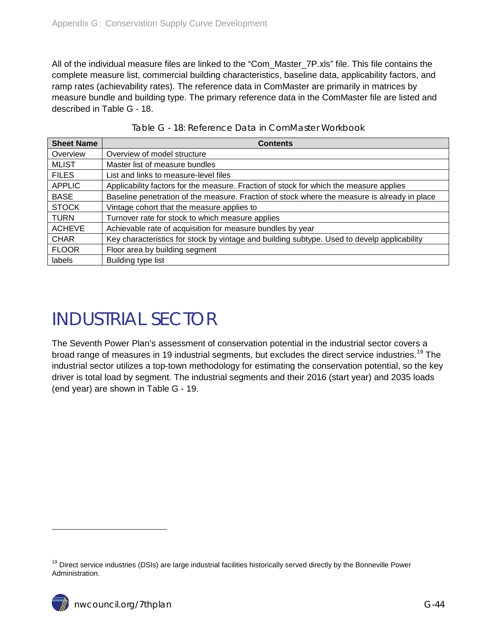All of the individual measure files are linked to the "Com\_Master\_7P.xls" file. This file contains the complete measure list, commercial building characteristics, baseline data, applicability factors, and ramp rates (achievability rates). The reference data in ComMaster are primarily in matrices by measure bundle and building type. The primary reference data in the ComMaster file are listed and described in [Table G -](#page-43-1) 18.

<span id="page-43-1"></span>

| <b>Sheet Name</b> | <b>Contents</b>                                                                              |
|-------------------|----------------------------------------------------------------------------------------------|
| Overview          | Overview of model structure                                                                  |
| <b>MLIST</b>      | Master list of measure bundles                                                               |
| <b>FILES</b>      | List and links to measure-level files                                                        |
| <b>APPLIC</b>     | Applicability factors for the measure. Fraction of stock for which the measure applies       |
| <b>BASE</b>       | Baseline penetration of the measure. Fraction of stock where the measure is already in place |
| <b>STOCK</b>      | Vintage cohort that the measure applies to                                                   |
| <b>TURN</b>       | Turnover rate for stock to which measure applies                                             |
| <b>ACHEVE</b>     | Achievable rate of acquisition for measure bundles by year                                   |
| <b>CHAR</b>       | Key characteristics for stock by vintage and building subtype. Used to develp applicability  |
| <b>FLOOR</b>      | Floor area by building segment                                                               |
| labels            | Building type list                                                                           |

## <span id="page-43-0"></span>INDUSTRIAL SECTOR

The Seventh Power Plan's assessment of conservation potential in the industrial sector covers a broad range of measures in [19](#page-38-1) industrial segments, but excludes the direct service industries.<sup>19</sup> The industrial sector utilizes a top-town methodology for estimating the conservation potential, so the key driver is total load by segment. The industrial segments and their 2016 (start year) and 2035 loads (end year) are shown in [Table G -](#page-44-1) 19.

 $\ddot{ }$ 

<span id="page-43-2"></span><sup>&</sup>lt;sup>19</sup> Direct service industries (DSIs) are large industrial facilities historically served directly by the Bonneville Power Administration.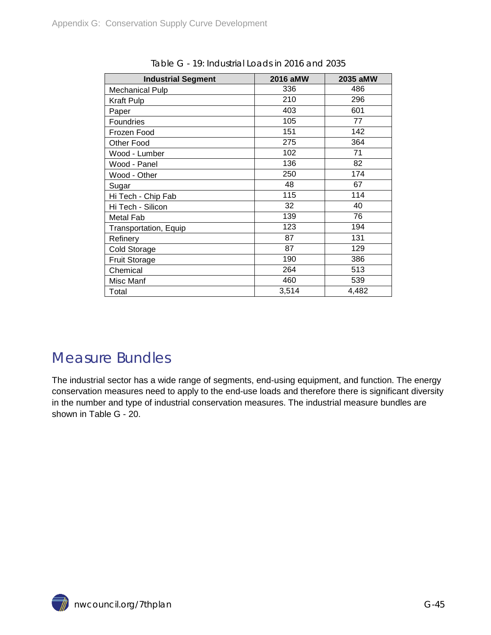<span id="page-44-1"></span>

| <b>Industrial Segment</b>    | 2016 aMW | 2035 aMW |
|------------------------------|----------|----------|
| <b>Mechanical Pulp</b>       | 336      | 486      |
| Kraft Pulp                   | 210      | 296      |
| Paper                        | 403      | 601      |
| <b>Foundries</b>             | 105      | 77       |
| Frozen Food                  | 151      | 142      |
| Other Food                   | 275      | 364      |
| Wood - Lumber                | 102      | 71       |
| Wood - Panel                 | 136      | 82       |
| Wood - Other                 | 250      | 174      |
| Sugar                        | 48       | 67       |
| Hi Tech - Chip Fab           | 115      | 114      |
| Hi Tech - Silicon            | 32       | 40       |
| Metal Fab                    | 139      | 76       |
| <b>Transportation, Equip</b> | 123      | 194      |
| Refinery                     | 87       | 131      |
| Cold Storage                 | 87       | 129      |
| <b>Fruit Storage</b>         | 190      | 386      |
| Chemical                     | 264      | 513      |
| Misc Manf                    | 460      | 539      |
| Total                        | 3,514    | 4,482    |

Table G - 19: Industrial Loads in 2016 and 2035

### <span id="page-44-0"></span>Measure Bundles

The industrial sector has a wide range of segments, end-using equipment, and function. The energy conservation measures need to apply to the end-use loads and therefore there is significant diversity in the number and type of industrial conservation measures. The industrial measure bundles are shown in [Table G -](#page-45-2) 20.

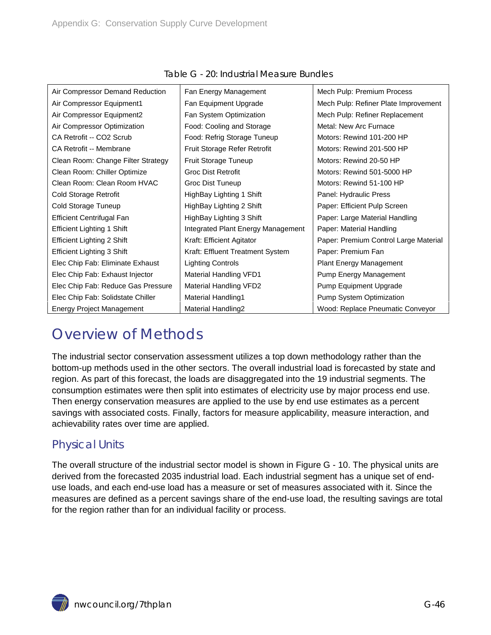<span id="page-45-2"></span>

| Air Compressor Demand Reduction    | Fan Energy Management              | Mech Pulp: Premium Process            |
|------------------------------------|------------------------------------|---------------------------------------|
| Air Compressor Equipment1          | Fan Equipment Upgrade              | Mech Pulp: Refiner Plate Improvement  |
| Air Compressor Equipment2          | Fan System Optimization            | Mech Pulp: Refiner Replacement        |
| Air Compressor Optimization        | Food: Cooling and Storage          | Metal: New Arc Furnace                |
| CA Retrofit -- CO2 Scrub           | Food: Refrig Storage Tuneup        | Motors: Rewind 101-200 HP             |
| CA Retrofit -- Membrane            | Fruit Storage Refer Retrofit       | Motors: Rewind 201-500 HP             |
| Clean Room: Change Filter Strategy | <b>Fruit Storage Tuneup</b>        | Motors: Rewind 20-50 HP               |
| Clean Room: Chiller Optimize       | <b>Groc Dist Retrofit</b>          | Motors: Rewind 501-5000 HP            |
| Clean Room: Clean Room HVAC        | Groc Dist Tuneup                   | Motors: Rewind 51-100 HP              |
| Cold Storage Retrofit              | HighBay Lighting 1 Shift           | Panel: Hydraulic Press                |
| Cold Storage Tuneup                | HighBay Lighting 2 Shift           | Paper: Efficient Pulp Screen          |
| <b>Efficient Centrifugal Fan</b>   | HighBay Lighting 3 Shift           | Paper: Large Material Handling        |
| Efficient Lighting 1 Shift         | Integrated Plant Energy Management | Paper: Material Handling              |
| <b>Efficient Lighting 2 Shift</b>  | Kraft: Efficient Agitator          | Paper: Premium Control Large Material |
| <b>Efficient Lighting 3 Shift</b>  | Kraft: Effluent Treatment System   | Paper: Premium Fan                    |
| Elec Chip Fab: Eliminate Exhaust   | <b>Lighting Controls</b>           | Plant Energy Management               |
| Elec Chip Fab: Exhaust Injector    | Material Handling VFD1             | Pump Energy Management                |
| Elec Chip Fab: Reduce Gas Pressure | Material Handling VFD2             | <b>Pump Equipment Upgrade</b>         |
| Elec Chip Fab: Solidstate Chiller  | <b>Material Handling1</b>          | Pump System Optimization              |
| <b>Energy Project Management</b>   | Material Handling2                 | Wood: Replace Pneumatic Conveyor      |

#### Table G - 20: Industrial Measure Bundles

### <span id="page-45-0"></span>Overview of Methods

The industrial sector conservation assessment utilizes a top down methodology rather than the bottom-up methods used in the other sectors. The overall industrial load is forecasted by state and region. As part of this forecast, the loads are disaggregated into the 19 industrial segments. The consumption estimates were then split into estimates of electricity use by major process end use. Then energy conservation measures are applied to the use by end use estimates as a percent savings with associated costs. Finally, factors for measure applicability, measure interaction, and achievability rates over time are applied.

### <span id="page-45-1"></span>Physical Units

The overall structure of the industrial sector model is shown in [Figure G -](#page-46-1) 10. The physical units are derived from the forecasted 2035 industrial load. Each industrial segment has a unique set of enduse loads, and each end-use load has a measure or set of measures associated with it. Since the measures are defined as a percent savings share of the end-use load, the resulting savings are total for the region rather than for an individual facility or process.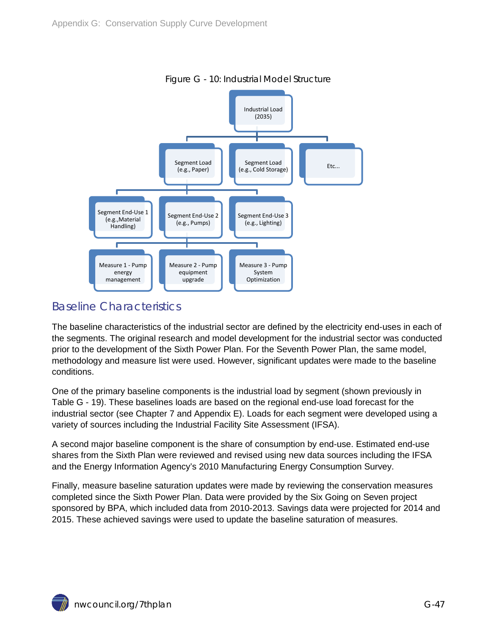<span id="page-46-1"></span>

Figure G - 10: Industrial Model Structure

### <span id="page-46-0"></span>Baseline Characteristics

The baseline characteristics of the industrial sector are defined by the electricity end-uses in each of the segments. The original research and model development for the industrial sector was conducted prior to the development of the Sixth Power Plan. For the Seventh Power Plan, the same model, methodology and measure list were used. However, significant updates were made to the baseline conditions.

One of the primary baseline components is the industrial load by segment (shown previously in [Table G -](#page-44-1) 19). These baselines loads are based on the regional end-use load forecast for the industrial sector (see Chapter 7 and Appendix E). Loads for each segment were developed using a variety of sources including the Industrial Facility Site Assessment (IFSA).

A second major baseline component is the share of consumption by end-use. Estimated end-use shares from the Sixth Plan were reviewed and revised using new data sources including the IFSA and the Energy Information Agency's 2010 Manufacturing Energy Consumption Survey.

Finally, measure baseline saturation updates were made by reviewing the conservation measures completed since the Sixth Power Plan. Data were provided by the Six Going on Seven project sponsored by BPA, which included data from 2010-2013. Savings data were projected for 2014 and 2015. These achieved savings were used to update the baseline saturation of measures.

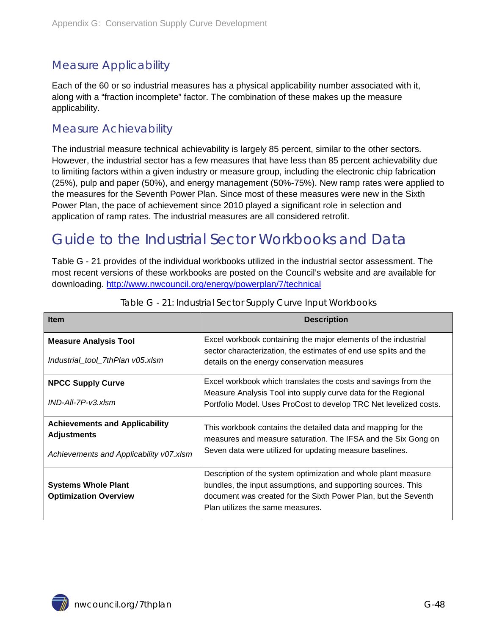### <span id="page-47-0"></span>Measure Applicability

Each of the 60 or so industrial measures has a physical applicability number associated with it, along with a "fraction incomplete" factor. The combination of these makes up the measure applicability.

#### <span id="page-47-1"></span>Measure Achievability

The industrial measure technical achievability is largely 85 percent, similar to the other sectors. However, the industrial sector has a few measures that have less than 85 percent achievability due to limiting factors within a given industry or measure group, including the electronic chip fabrication (25%), pulp and paper (50%), and energy management (50%-75%). New ramp rates were applied to the measures for the Seventh Power Plan. Since most of these measures were new in the Sixth Power Plan, the pace of achievement since 2010 played a significant role in selection and application of ramp rates. The industrial measures are all considered retrofit.

### <span id="page-47-2"></span>Guide to the Industrial Sector Workbooks and Data

[Table G -](#page-47-3) 21 provides of the individual workbooks utilized in the industrial sector assessment. The most recent versions of these workbooks are posted on the Council's website and are available for downloading. <http://www.nwcouncil.org/energy/powerplan/7/technical>

<span id="page-47-3"></span>

| <b>Item</b>                                                 | <b>Description</b>                                                                                                                                                                                                                   |  |  |
|-------------------------------------------------------------|--------------------------------------------------------------------------------------------------------------------------------------------------------------------------------------------------------------------------------------|--|--|
| <b>Measure Analysis Tool</b>                                | Excel workbook containing the major elements of the industrial                                                                                                                                                                       |  |  |
| Industrial_tool_7thPlan v05.xlsm                            | sector characterization, the estimates of end use splits and the<br>details on the energy conservation measures                                                                                                                      |  |  |
| <b>NPCC Supply Curve</b>                                    | Excel workbook which translates the costs and savings from the                                                                                                                                                                       |  |  |
| $IND-AII-7P-V3.xlsm$                                        | Measure Analysis Tool into supply curve data for the Regional<br>Portfolio Model. Uses ProCost to develop TRC Net levelized costs.                                                                                                   |  |  |
| <b>Achievements and Applicability</b><br><b>Adjustments</b> | This workbook contains the detailed data and mapping for the<br>measures and measure saturation. The IFSA and the Six Gong on                                                                                                        |  |  |
| Achievements and Applicability v07.xlsm                     | Seven data were utilized for updating measure baselines.                                                                                                                                                                             |  |  |
| <b>Systems Whole Plant</b><br><b>Optimization Overview</b>  | Description of the system optimization and whole plant measure<br>bundles, the input assumptions, and supporting sources. This<br>document was created for the Sixth Power Plan, but the Seventh<br>Plan utilizes the same measures. |  |  |

Table G - 21: Industrial Sector Supply Curve Input Workbooks

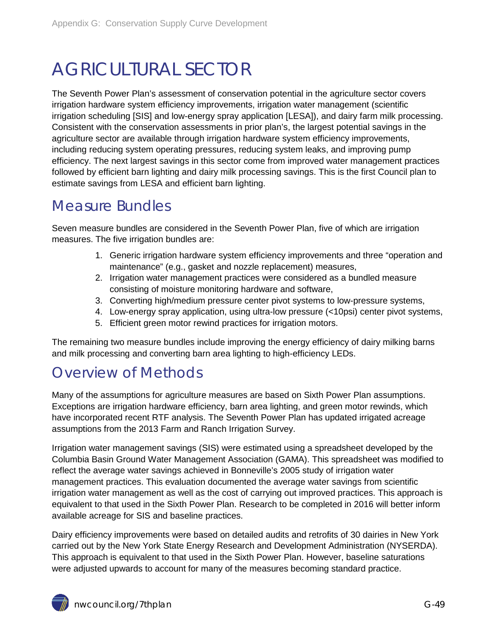# <span id="page-48-0"></span>AGRICULTURAL SECTOR

The Seventh Power Plan's assessment of conservation potential in the agriculture sector covers irrigation hardware system efficiency improvements, irrigation water management (scientific irrigation scheduling [SIS] and low-energy spray application [LESA]), and dairy farm milk processing. Consistent with the conservation assessments in prior plan's, the largest potential savings in the agriculture sector are available through irrigation hardware system efficiency improvements, including reducing system operating pressures, reducing system leaks, and improving pump efficiency. The next largest savings in this sector come from improved water management practices followed by efficient barn lighting and dairy milk processing savings. This is the first Council plan to estimate savings from LESA and efficient barn lighting.

### <span id="page-48-1"></span>Measure Bundles

Seven measure bundles are considered in the Seventh Power Plan, five of which are irrigation measures. The five irrigation bundles are:

- 1. Generic irrigation hardware system efficiency improvements and three "operation and maintenance" (e.g., gasket and nozzle replacement) measures,
- 2. Irrigation water management practices were considered as a bundled measure consisting of moisture monitoring hardware and software,
- 3. Converting high/medium pressure center pivot systems to low-pressure systems,
- 4. Low-energy spray application, using ultra-low pressure (<10psi) center pivot systems,
- 5. Efficient green motor rewind practices for irrigation motors.

The remaining two measure bundles include improving the energy efficiency of dairy milking barns and milk processing and converting barn area lighting to high-efficiency LEDs.

### <span id="page-48-2"></span>Overview of Methods

Many of the assumptions for agriculture measures are based on Sixth Power Plan assumptions. Exceptions are irrigation hardware efficiency, barn area lighting, and green motor rewinds, which have incorporated recent RTF analysis. The Seventh Power Plan has updated irrigated acreage assumptions from the 2013 Farm and Ranch Irrigation Survey.

Irrigation water management savings (SIS) were estimated using a spreadsheet developed by the Columbia Basin Ground Water Management Association (GAMA). This spreadsheet was modified to reflect the average water savings achieved in Bonneville's 2005 study of irrigation water management practices. This evaluation documented the average water savings from scientific irrigation water management as well as the cost of carrying out improved practices. This approach is equivalent to that used in the Sixth Power Plan. Research to be completed in 2016 will better inform available acreage for SIS and baseline practices.

Dairy efficiency improvements were based on detailed audits and retrofits of 30 dairies in New York carried out by the New York State Energy Research and Development Administration (NYSERDA). This approach is equivalent to that used in the Sixth Power Plan. However, baseline saturations were adjusted upwards to account for many of the measures becoming standard practice.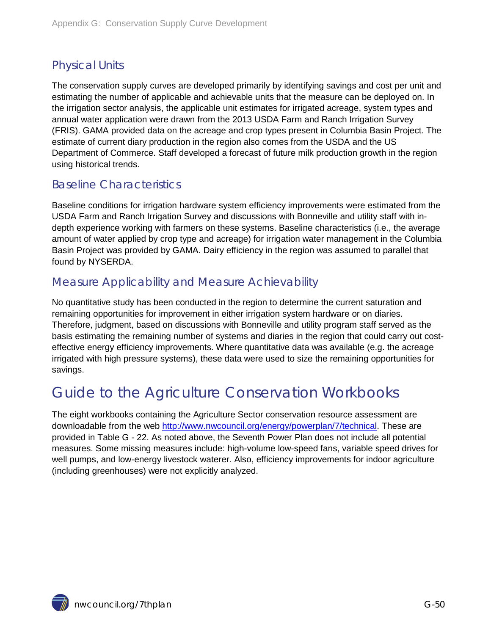### <span id="page-49-0"></span>Physical Units

The conservation supply curves are developed primarily by identifying savings and cost per unit and estimating the number of applicable and achievable units that the measure can be deployed on. In the irrigation sector analysis, the applicable unit estimates for irrigated acreage, system types and annual water application were drawn from the 2013 USDA Farm and Ranch Irrigation Survey (FRIS). GAMA provided data on the acreage and crop types present in Columbia Basin Project. The estimate of current diary production in the region also comes from the USDA and the US Department of Commerce. Staff developed a forecast of future milk production growth in the region using historical trends.

### <span id="page-49-1"></span>Baseline Characteristics

Baseline conditions for irrigation hardware system efficiency improvements were estimated from the USDA Farm and Ranch Irrigation Survey and discussions with Bonneville and utility staff with indepth experience working with farmers on these systems. Baseline characteristics (i.e., the average amount of water applied by crop type and acreage) for irrigation water management in the Columbia Basin Project was provided by GAMA. Dairy efficiency in the region was assumed to parallel that found by NYSERDA.

#### <span id="page-49-2"></span>Measure Applicability and Measure Achievability

No quantitative study has been conducted in the region to determine the current saturation and remaining opportunities for improvement in either irrigation system hardware or on diaries. Therefore, judgment, based on discussions with Bonneville and utility program staff served as the basis estimating the remaining number of systems and diaries in the region that could carry out costeffective energy efficiency improvements. Where quantitative data was available (e.g. the acreage irrigated with high pressure systems), these data were used to size the remaining opportunities for savings.

## <span id="page-49-3"></span>Guide to the Agriculture Conservation Workbooks

The eight workbooks containing the Agriculture Sector conservation resource assessment are downloadable from the web [http://www.nwcouncil.org/energy/powerplan/7/technical.](http://www.nwcouncil.org/energy/powerplan/7/technical) These are provided in [Table G -](#page-50-2) 22. As noted above, the Seventh Power Plan does not include all potential measures. Some missing measures include: high-volume low-speed fans, variable speed drives for well pumps, and low-energy livestock waterer. Also, efficiency improvements for indoor agriculture (including greenhouses) were not explicitly analyzed.

nwcouncil.org/7thplan G-50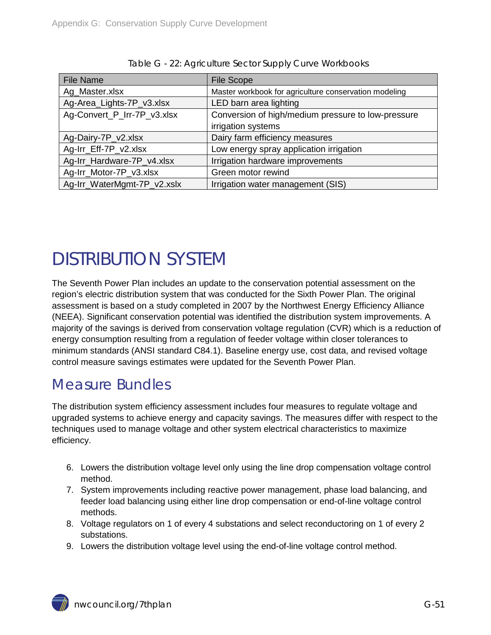<span id="page-50-2"></span>

| <b>File Name</b>            | <b>File Scope</b>                                     |
|-----------------------------|-------------------------------------------------------|
| Ag_Master.xlsx              | Master workbook for agriculture conservation modeling |
| Ag-Area_Lights-7P_v3.xlsx   | LED barn area lighting                                |
| Ag-Convert_P_Irr-7P_v3.xlsx | Conversion of high/medium pressure to low-pressure    |
|                             | irrigation systems                                    |
| Ag-Dairy-7P_v2.xlsx         | Dairy farm efficiency measures                        |
| Ag-Irr_Eff-7P_v2.xlsx       | Low energy spray application irrigation               |
| Ag-Irr_Hardware-7P_v4.xlsx  | Irrigation hardware improvements                      |
| Ag-Irr_Motor-7P_v3.xlsx     | Green motor rewind                                    |
| Ag-Irr_WaterMgmt-7P_v2.xslx | Irrigation water management (SIS)                     |

| Table G - 22: Agriculture Sector Supply Curve Workbooks |  |  |
|---------------------------------------------------------|--|--|
|                                                         |  |  |

# <span id="page-50-0"></span>DISTRIBUTION SYSTEM

The Seventh Power Plan includes an update to the conservation potential assessment on the region's electric distribution system that was conducted for the Sixth Power Plan. The original assessment is based on a study completed in 2007 by the Northwest Energy Efficiency Alliance (NEEA). Significant conservation potential was identified the distribution system improvements. A majority of the savings is derived from conservation voltage regulation (CVR) which is a reduction of energy consumption resulting from a regulation of feeder voltage within closer tolerances to minimum standards (ANSI standard C84.1). Baseline energy use, cost data, and revised voltage control measure savings estimates were updated for the Seventh Power Plan.

### <span id="page-50-1"></span>Measure Bundles

The distribution system efficiency assessment includes four measures to regulate voltage and upgraded systems to achieve energy and capacity savings. The measures differ with respect to the techniques used to manage voltage and other system electrical characteristics to maximize efficiency.

- 6. Lowers the distribution voltage level only using the line drop compensation voltage control method.
- 7. System improvements including reactive power management, phase load balancing, and feeder load balancing using either line drop compensation or end-of-line voltage control methods.
- 8. Voltage regulators on 1 of every 4 substations and select reconductoring on 1 of every 2 substations.
- 9. Lowers the distribution voltage level using the end-of-line voltage control method.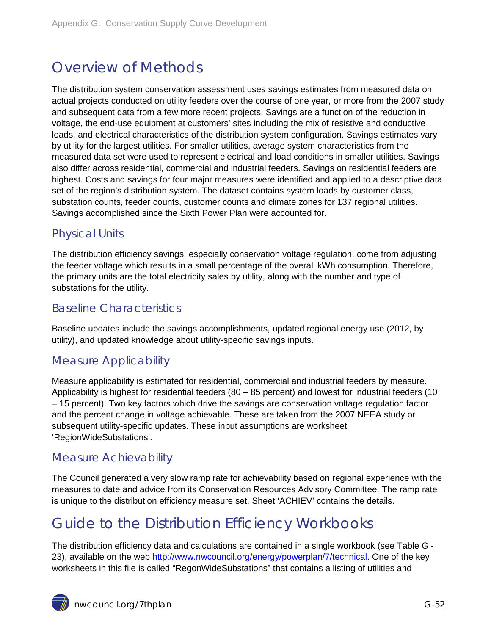## <span id="page-51-0"></span>Overview of Methods

The distribution system conservation assessment uses savings estimates from measured data on actual projects conducted on utility feeders over the course of one year, or more from the 2007 study and subsequent data from a few more recent projects. Savings are a function of the reduction in voltage, the end-use equipment at customers' sites including the mix of resistive and conductive loads, and electrical characteristics of the distribution system configuration. Savings estimates vary by utility for the largest utilities. For smaller utilities, average system characteristics from the measured data set were used to represent electrical and load conditions in smaller utilities. Savings also differ across residential, commercial and industrial feeders. Savings on residential feeders are highest. Costs and savings for four major measures were identified and applied to a descriptive data set of the region's distribution system. The dataset contains system loads by customer class, substation counts, feeder counts, customer counts and climate zones for 137 regional utilities. Savings accomplished since the Sixth Power Plan were accounted for.

### <span id="page-51-1"></span>Physical Units

The distribution efficiency savings, especially conservation voltage regulation, come from adjusting the feeder voltage which results in a small percentage of the overall kWh consumption. Therefore, the primary units are the total electricity sales by utility, along with the number and type of substations for the utility.

### <span id="page-51-2"></span>Baseline Characteristics

Baseline updates include the savings accomplishments, updated regional energy use (2012, by utility), and updated knowledge about utility-specific savings inputs.

#### <span id="page-51-3"></span>Measure Applicability

Measure applicability is estimated for residential, commercial and industrial feeders by measure. Applicability is highest for residential feeders (80 – 85 percent) and lowest for industrial feeders (10 – 15 percent). Two key factors which drive the savings are conservation voltage regulation factor and the percent change in voltage achievable. These are taken from the 2007 NEEA study or subsequent utility-specific updates. These input assumptions are worksheet 'RegionWideSubstations'.

### <span id="page-51-4"></span>Measure Achievability

The Council generated a very slow ramp rate for achievability based on regional experience with the measures to date and advice from its Conservation Resources Advisory Committee. The ramp rate is unique to the distribution efficiency measure set. Sheet 'ACHIEV' contains the details.

## <span id="page-51-5"></span>Guide to the Distribution Efficiency Workbooks

The distribution efficiency data and calculations are contained in a single workbook (see [Table G -](#page-52-2) [23\)](#page-52-2), available on the web [http://www.nwcouncil.org/energy/powerplan/7/technical.](http://www.nwcouncil.org/energy/powerplan/7/technical) One of the key worksheets in this file is called "RegonWideSubstations" that contains a listing of utilities and

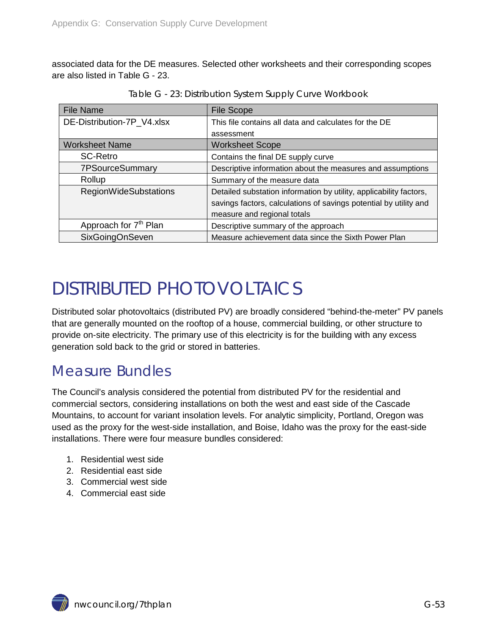associated data for the DE measures. Selected other worksheets and their corresponding scopes are also listed in [Table G -](#page-52-2) 23.

<span id="page-52-2"></span>

| <b>File Name</b>                  | <b>File Scope</b>                                                  |
|-----------------------------------|--------------------------------------------------------------------|
| DE-Distribution-7P_V4.xlsx        | This file contains all data and calculates for the DE              |
|                                   | assessment                                                         |
| <b>Worksheet Name</b>             | <b>Worksheet Scope</b>                                             |
| <b>SC-Retro</b>                   | Contains the final DE supply curve                                 |
| 7PSourceSummary                   | Descriptive information about the measures and assumptions         |
| Rollup                            | Summary of the measure data                                        |
| <b>RegionWideSubstations</b>      | Detailed substation information by utility, applicability factors, |
|                                   | savings factors, calculations of savings potential by utility and  |
|                                   | measure and regional totals                                        |
| Approach for 7 <sup>th</sup> Plan | Descriptive summary of the approach                                |
| SixGoingOnSeven                   | Measure achievement data since the Sixth Power Plan                |

Table G - 23: Distribution System Supply Curve Workbook

## <span id="page-52-0"></span>DISTRIBUTED PHOTOVOLTAICS

Distributed solar photovoltaics (distributed PV) are broadly considered "behind-the-meter" PV panels that are generally mounted on the rooftop of a house, commercial building, or other structure to provide on-site electricity. The primary use of this electricity is for the building with any excess generation sold back to the grid or stored in batteries.

## <span id="page-52-1"></span>Measure Bundles

The Council's analysis considered the potential from distributed PV for the residential and commercial sectors, considering installations on both the west and east side of the Cascade Mountains, to account for variant insolation levels. For analytic simplicity, Portland, Oregon was used as the proxy for the west-side installation, and Boise, Idaho was the proxy for the east-side installations. There were four measure bundles considered:

- 1. Residential west side
- 2. Residential east side
- 3. Commercial west side
- 4. Commercial east side

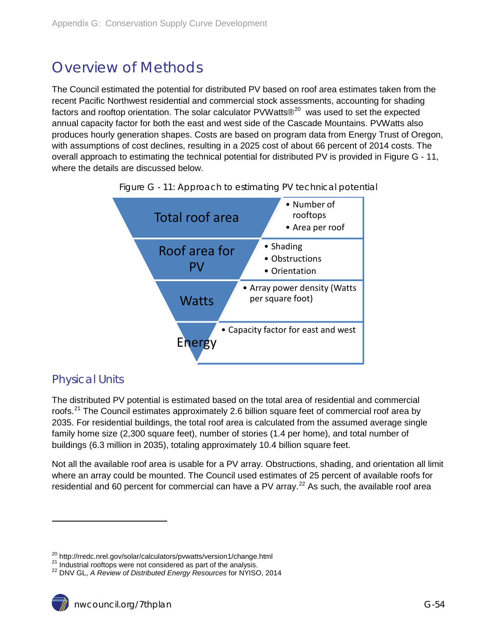## <span id="page-53-0"></span>Overview of Methods

The Council estimated the potential for distributed PV based on roof area estimates taken from the recent Pacific Northwest residential and commercial stock assessments, accounting for shading factors and rooftop orientation. The solar calculator PVWatts $\mathbb{R}^{20}$  $\mathbb{R}^{20}$  $\mathbb{R}^{20}$  was used to set the expected annual capacity factor for both the east and west side of the Cascade Mountains. PVWatts also produces hourly generation shapes. Costs are based on program data from Energy Trust of Oregon, with assumptions of cost declines, resulting in a 2025 cost of about 66 percent of 2014 costs. The overall approach to estimating the technical potential for distributed PV is provided in [Figure G -](#page-53-2) 11, where the details are discussed below.



<span id="page-53-2"></span>

### <span id="page-53-1"></span>Physical Units

 $\ddot{ }$ 

The distributed PV potential is estimated based on the total area of residential and commercial roofs.<sup>[21](#page-53-3)</sup> The Council estimates approximately 2.6 billion square feet of commercial roof area by 2035. For residential buildings, the total roof area is calculated from the assumed average single family home size (2,300 square feet), number of stories (1.4 per home), and total number of buildings (6.3 million in 2035), totaling approximately 10.4 billion square feet.

<span id="page-53-5"></span>Not all the available roof area is usable for a PV array. Obstructions, shading, and orientation all limit where an array could be mounted. The Council used estimates of 25 percent of available roofs for residential and 60 percent for commercial can have a PV array.<sup>[22](#page-53-4)</sup> As such, the available roof area

<span id="page-53-3"></span><sup>&</sup>lt;sup>20</sup> http://rredc.nrel.gov/solar/calculators/pvwatts/version1/change.html<br><sup>21</sup> Industrial rooftops were not considered as part of the analysis.<br><sup>22</sup> DNV GL, *A Review of Distributed Energy Resources* for NYISO, 2014

<span id="page-53-4"></span>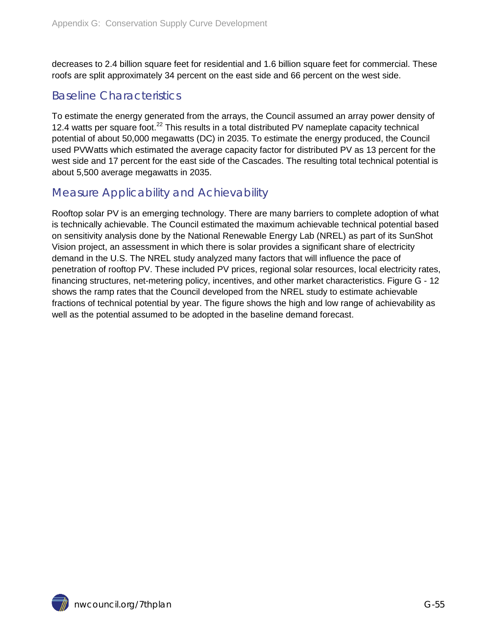decreases to 2.4 billion square feet for residential and 1.6 billion square feet for commercial. These roofs are split approximately 34 percent on the east side and 66 percent on the west side.

#### <span id="page-54-0"></span>Baseline Characteristics

To estimate the energy generated from the arrays, the Council assumed an array power density of 12.4 watts per square foot.<sup>[22](#page-53-5)</sup> This results in a total distributed PV nameplate capacity technical potential of about 50,000 megawatts (DC) in 2035. To estimate the energy produced, the Council used PVWatts which estimated the average capacity factor for distributed PV as 13 percent for the west side and 17 percent for the east side of the Cascades. The resulting total technical potential is about 5,500 average megawatts in 2035.

#### <span id="page-54-1"></span>Measure Applicability and Achievability

Rooftop solar PV is an emerging technology. There are many barriers to complete adoption of what is technically achievable. The Council estimated the maximum achievable technical potential based on sensitivity analysis done by the National Renewable Energy Lab (NREL) as part of its SunShot Vision project, an assessment in which there is solar provides a significant share of electricity demand in the U.S. The NREL study analyzed many factors that will influence the pace of penetration of rooftop PV. These included PV prices, regional solar resources, local electricity rates, financing structures, net-metering policy, incentives, and other market characteristics. [Figure G -](#page-55-1) 12 shows the ramp rates that the Council developed from the NREL study to estimate achievable fractions of technical potential by year. The figure shows the high and low range of achievability as well as the potential assumed to be adopted in the baseline demand forecast.

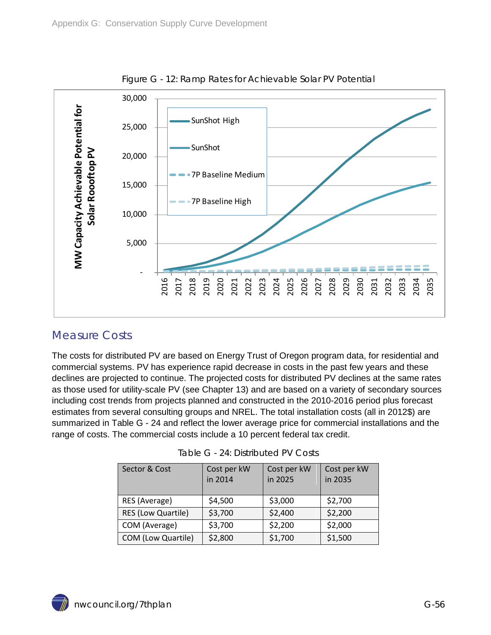<span id="page-55-1"></span>

Figure G - 12: Ramp Rates for Achievable Solar PV Potential

### <span id="page-55-0"></span>Measure Costs

The costs for distributed PV are based on Energy Trust of Oregon program data, for residential and commercial systems. PV has experience rapid decrease in costs in the past few years and these declines are projected to continue. The projected costs for distributed PV declines at the same rates as those used for utility-scale PV (see Chapter 13) and are based on a variety of secondary sources including cost trends from projects planned and constructed in the 2010-2016 period plus forecast estimates from several consulting groups and NREL. The total installation costs (all in 2012\$) are summarized in [Table G -](#page-55-2) 24 and reflect the lower average price for commercial installations and the range of costs. The commercial costs include a 10 percent federal tax credit.

<span id="page-55-2"></span>

| Sector & Cost             | Cost per kW<br>in 2014 | Cost per kW<br>in 2025 | Cost per kW<br>in 2035 |
|---------------------------|------------------------|------------------------|------------------------|
| RES (Average)             | \$4,500                | \$3,000                | \$2,700                |
| <b>RES (Low Quartile)</b> | \$3,700                | \$2,400                | \$2,200                |
| COM (Average)             | \$3,700                | \$2,200                | \$2,000                |
| COM (Low Quartile)        | \$2,800                | \$1,700                | \$1,500                |

Table G - 24: Distributed PV Costs